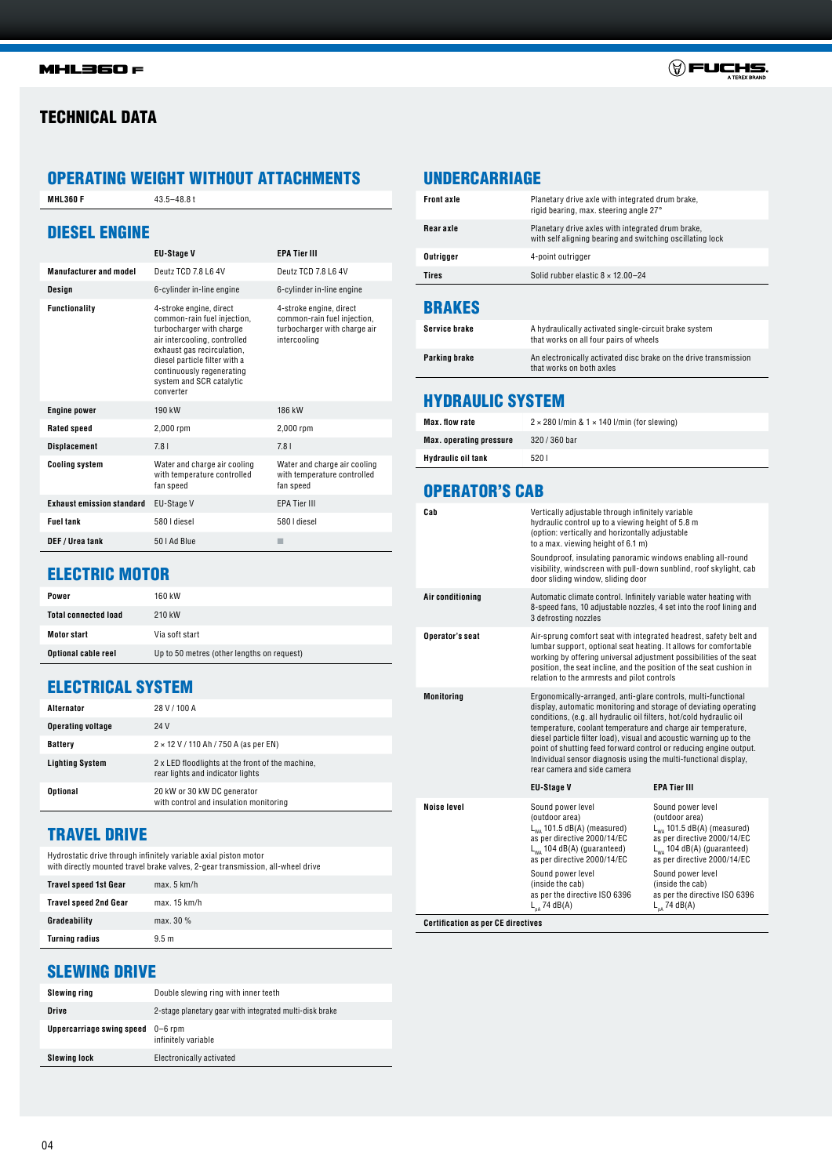04

# TECHNICAL DATA

**MHL360 F** 43.5-48.8 t

# OPERATING WEIGHT WITHOUT ATTACHMENTS

| <b>DIESEL ENGINE</b>             | <b>EU-Stage V</b>                                                                                                                                                                                                                                       | <b>EPA Tier III</b>                                                                                    |
|----------------------------------|---------------------------------------------------------------------------------------------------------------------------------------------------------------------------------------------------------------------------------------------------------|--------------------------------------------------------------------------------------------------------|
|                                  |                                                                                                                                                                                                                                                         |                                                                                                        |
| <b>Manufacturer and model</b>    | Deutz TCD 7.8 L6 4V                                                                                                                                                                                                                                     | Deutz TCD 7.8 L6 4V                                                                                    |
| Design                           | 6-cylinder in-line engine                                                                                                                                                                                                                               | 6-cylinder in-line engine                                                                              |
| <b>Functionality</b>             | 4-stroke engine, direct<br>common-rain fuel injection,<br>turbocharger with charge<br>air intercooling, controlled<br>exhaust gas recirculation,<br>diesel particle filter with a<br>continuously regenerating<br>system and SCR catalytic<br>converter | 4-stroke engine, direct<br>common-rain fuel injection,<br>turbocharger with charge air<br>intercooling |
| <b>Engine power</b>              | 190 kW                                                                                                                                                                                                                                                  | 186 kW                                                                                                 |
| <b>Rated speed</b>               | 2,000 rpm                                                                                                                                                                                                                                               | 2,000 rpm                                                                                              |
| <b>Displacement</b>              | 7.81                                                                                                                                                                                                                                                    | 7.81                                                                                                   |
| <b>Cooling system</b>            | Water and charge air cooling<br>with temperature controlled<br>fan speed                                                                                                                                                                                | Water and charge air cooling<br>with temperature controlled<br>fan speed                               |
| <b>Exhaust emission standard</b> | EU-Stage V                                                                                                                                                                                                                                              | <b>EPA Tier III</b>                                                                                    |
| <b>Fuel tank</b>                 | 580 I diesel                                                                                                                                                                                                                                            | 580 I diesel                                                                                           |
| DEF / Urea tank                  | 50   Ad Blue                                                                                                                                                                                                                                            | п                                                                                                      |

# ELECTRIC MOTOR

| Power                       | 160 kW                                     |
|-----------------------------|--------------------------------------------|
| <b>Total connected load</b> | 210 kW                                     |
| <b>Motor start</b>          | Via soft start                             |
| Optional cable reel         | Up to 50 metres (other lengths on request) |

# ELECTRICAL SYSTEM

| Alternator               | 28 V / 100 A                                                                         |
|--------------------------|--------------------------------------------------------------------------------------|
| <b>Operating voltage</b> | 24 V                                                                                 |
| <b>Battery</b>           | $2 \times 12$ V / 110 Ah / 750 A (as per EN)                                         |
| <b>Lighting System</b>   | 2 x LED floodlights at the front of the machine.<br>rear lights and indicator lights |
| Optional                 | 20 kW or 30 kW DC generator<br>with control and insulation monitoring                |

# TRAVEL DRIVE

Hydrostatic drive through infinitely variable axial piston motor with directly mounted travel brake valves, 2-gear transmission, all-wheel drive

| <b>Travel speed 1st Gear</b> | max. 5 km/h      |
|------------------------------|------------------|
| <b>Travel speed 2nd Gear</b> | max. 15 km/h     |
| Gradeability                 | max. 30 %        |
| <b>Turning radius</b>        | 9.5 <sub>m</sub> |

# SLEWING DRIVE

| Slewing ring                     | Double slewing ring with inner teeth                    |
|----------------------------------|---------------------------------------------------------|
| Drive                            | 2-stage planetary gear with integrated multi-disk brake |
| <b>Uppercarriage swing speed</b> | $0-6$ rpm<br>infinitely variable                        |
| Slewing lock                     | Electronically activated                                |

## UNDERCARRIAGE

| <b>BRAKES</b>     |                                                                                                                |
|-------------------|----------------------------------------------------------------------------------------------------------------|
| <b>Tires</b>      | Solid rubber elastic $8 \times 12.00 - 24$                                                                     |
| Outrigger         | 4-point outrigger                                                                                              |
| <b>Rearaxle</b>   | Planetary drive axles with integrated drum brake,<br>with self aligning bearing and switching oscillating lock |
| <b>Front axle</b> | Planetary drive axle with integrated drum brake,<br>rigid bearing, max, steering angle 27°                     |
|                   |                                                                                                                |

| Service brake | A hydraulically activated single-circuit brake system<br>that works on all four pairs of wheels |
|---------------|-------------------------------------------------------------------------------------------------|
| Parking brake | An electronically activated disc brake on the drive transmission<br>that works on both axles    |

# HYDRAULIC SYSTEM

| Max. flow rate                 | $2 \times 280$ I/min & $1 \times 140$ I/min (for slewing) |
|--------------------------------|-----------------------------------------------------------|
| <b>Max.</b> operating pressure | 320 / 360 bar                                             |
| <b>Hydraulic oil tank</b>      | 5201                                                      |

## OPERATOR'S CAB

| Cab                    | Vertically adjustable through infinitely variable<br>hydraulic control up to a viewing height of 5.8 m<br>(option: vertically and horizontally adjustable<br>to a max. viewing height of 6.1 m)<br>Soundproof, insulating panoramic windows enabling all-round<br>visibility, windscreen with pull-down sunblind, roof skylight, cab<br>door sliding window, sliding door                                                                                                                                              |                                                                                                                                                                         |
|------------------------|------------------------------------------------------------------------------------------------------------------------------------------------------------------------------------------------------------------------------------------------------------------------------------------------------------------------------------------------------------------------------------------------------------------------------------------------------------------------------------------------------------------------|-------------------------------------------------------------------------------------------------------------------------------------------------------------------------|
| Air conditioning       | Automatic climate control. Infinitely variable water heating with<br>8-speed fans, 10 adjustable nozzles, 4 set into the roof lining and<br>3 defrosting nozzles                                                                                                                                                                                                                                                                                                                                                       |                                                                                                                                                                         |
| <b>Operator's seat</b> | Air-sprung comfort seat with integrated headrest, safety belt and<br>lumbar support, optional seat heating. It allows for comfortable<br>working by offering universal adjustment possibilities of the seat<br>position, the seat incline, and the position of the seat cushion in<br>relation to the armrests and pilot controls                                                                                                                                                                                      |                                                                                                                                                                         |
| <b>Monitoring</b>      | Ergonomically-arranged, anti-glare controls, multi-functional<br>display, automatic monitoring and storage of deviating operating<br>conditions, (e.g. all hydraulic oil filters, hot/cold hydraulic oil<br>temperature, coolant temperature and charge air temperature,<br>diesel particle filter load), visual and acoustic warning up to the<br>point of shutting feed forward control or reducing engine output.<br>Individual sensor diagnosis using the multi-functional display,<br>rear camera and side camera |                                                                                                                                                                         |
|                        | <b>EU-Stage V</b>                                                                                                                                                                                                                                                                                                                                                                                                                                                                                                      | <b>EPA Tier III</b>                                                                                                                                                     |
| <b>Noise level</b>     | Sound power level<br>(outdoor area)<br>$L_{WA}$ 101.5 dB(A) (measured)<br>as per directive 2000/14/EC<br>$L_{wa}$ 104 dB(A) (guaranteed)<br>as per directive 2000/14/EC                                                                                                                                                                                                                                                                                                                                                | Sound power level<br>(outdoor area)<br>$L_{wa}$ 101.5 dB(A) (measured)<br>as per directive 2000/14/EC<br>$L_{wa}$ 104 dB(A) (guaranteed)<br>as per directive 2000/14/EC |
|                        | Sound power level<br>(inside the cab)<br>as per the directive ISO 6396<br>$L_{nA}$ 74 dB(A)                                                                                                                                                                                                                                                                                                                                                                                                                            | Sound power level<br>(inside the cab)<br>as per the directive ISO 6396<br>$L_{nA}$ 74 dB(A)                                                                             |

**Certification as per CE directives**

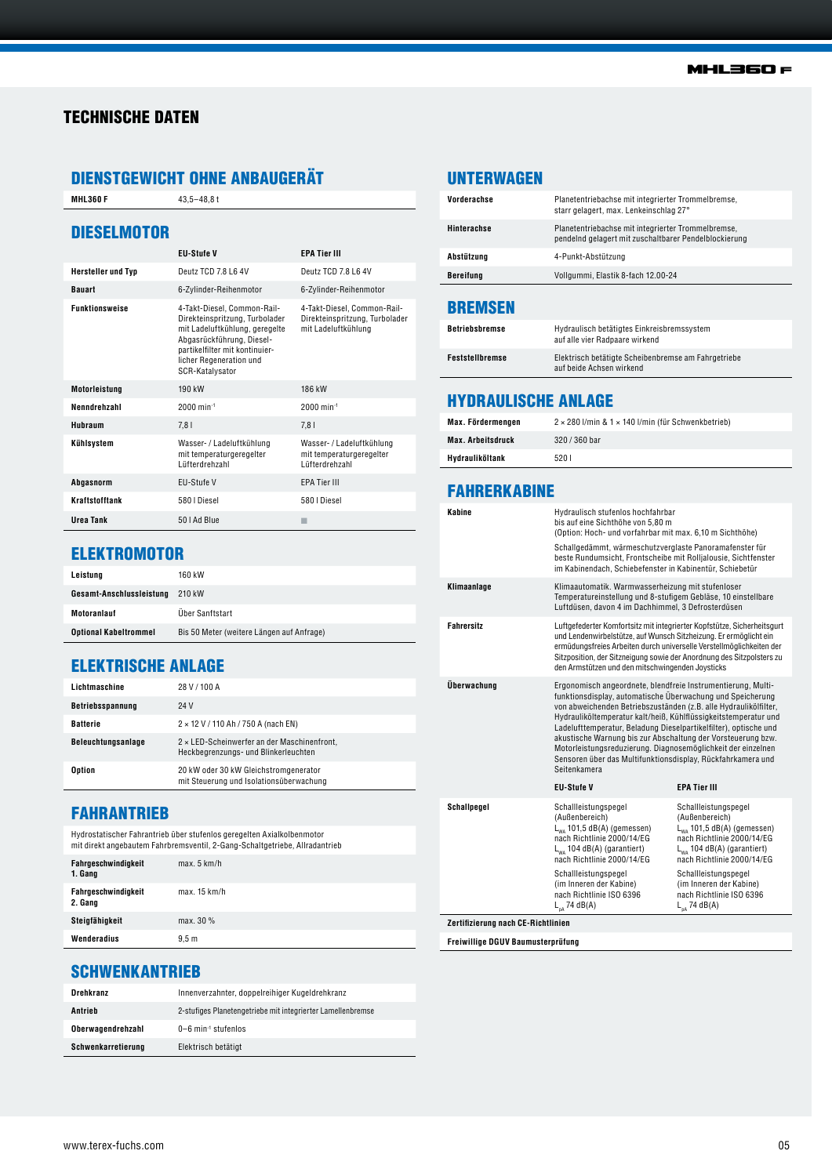## TECHNISCHE DATEN

# DIENSTGEWICHT OHNE ANBAUGERÄT

**MHL360 F** 43,5-48,8 t

#### **DIESELMOTOR**

|                           | <b>EU-Stufe V</b>                                                                                                                                                                                            | <b>EPA Tier III</b>                                                                  |
|---------------------------|--------------------------------------------------------------------------------------------------------------------------------------------------------------------------------------------------------------|--------------------------------------------------------------------------------------|
| <b>Hersteller und Typ</b> | Deutz TCD 7.8 L6 4V                                                                                                                                                                                          | Deutz TCD 7.8 L6 4V                                                                  |
| <b>Bauart</b>             | 6-Zylinder-Reihenmotor                                                                                                                                                                                       | 6-Zylinder-Reihenmotor                                                               |
| <b>Funktionsweise</b>     | 4-Takt-Diesel, Common-Rail-<br>Direkteinspritzung, Turbolader<br>mit Ladeluftkühlung, geregelte<br>Abgasrückführung, Diesel-<br>partikelfilter mit kontinuier-<br>licher Regeneration und<br>SCR-Katalysator | 4-Takt-Diesel, Common-Rail-<br>Direkteinspritzung, Turbolader<br>mit Ladeluftkühlung |
| Motorleistung             | 190 kW                                                                                                                                                                                                       | 186 kW                                                                               |
| Nenndrehzahl              | $2000$ min <sup>-1</sup>                                                                                                                                                                                     | $2000$ min-1                                                                         |
| Hubraum                   | 7,81                                                                                                                                                                                                         | 7,81                                                                                 |
| Kühlsystem                | Wasser- / Ladeluftkühlung<br>mit temperaturgeregelter<br>Lüfterdrehzahl                                                                                                                                      | Wasser- / Ladeluftkühlung<br>mit temperaturgeregelter<br>Lüfterdrehzahl              |
| Abgasnorm                 | EU-Stufe V                                                                                                                                                                                                   | <b>EPA Tier III</b>                                                                  |
| <b>Kraftstofftank</b>     | 580   Diesel                                                                                                                                                                                                 | 580   Diesel                                                                         |
| <b>Ilrea Tank</b>         | 50   Ad Blue                                                                                                                                                                                                 |                                                                                      |

## **ELEKTROMOTOR**

| Leistung                     | 160 kW                                    |
|------------------------------|-------------------------------------------|
| Gesamt-Anschlussleistung     | 210 kW                                    |
| Motoranlauf                  | Über Sanftstart                           |
| <b>Optional Kabeltrommel</b> | Bis 50 Meter (weitere Längen auf Anfrage) |

## ELEKTRISCHE ANLAGE

| Lichtmaschine             | 28 V / 100 A                                                                               |
|---------------------------|--------------------------------------------------------------------------------------------|
| <b>Betriebsspannung</b>   | 24 V                                                                                       |
| <b>Batterie</b>           | $2 \times 12$ V / 110 Ah / 750 A (nach EN)                                                 |
| <b>Beleuchtungsanlage</b> | $2 \times$ LED-Scheinwerfer an der Maschinenfront,<br>Heckbearenzungs- und Blinkerleuchten |
| Option                    | 20 kW oder 30 kW Gleichstromgenerator<br>mit Steuerung und Isolationsüberwachung           |

### FAHRANTRIEB

Hydrostatischer Fahrantrieb über stufenlos geregelten Axialkolbenmotor mit direkt angebautem Fahrbremsventil, 2-Gang-Schaltgetriebe, Allradantrieb

| Fahrgeschwindigkeit<br>1. Gang | max. 5 km/h      |
|--------------------------------|------------------|
| Fahrgeschwindigkeit<br>2. Gang | max. 15 km/h     |
| Steigfähigkeit                 | max. 30 %        |
| Wenderadius                    | 9.5 <sub>m</sub> |

## UNTERWAGEN

| Vorderachse      | Planetentriebachse mit integrierter Trommelbremse,<br>starr gelagert, max. Lenkeinschlag 27°                |
|------------------|-------------------------------------------------------------------------------------------------------------|
| Hinterachse      | Planetentriebachse mit integrierter Trommelbremse,<br>pendelnd gelagert mit zuschaltbarer Pendelblockierung |
| Abstützuna       | 4-Punkt-Abstützung                                                                                          |
| <b>Bereifung</b> | Vollgummi, Elastik 8-fach 12.00-24                                                                          |

#### **BREMSEN**

| <b>Betriebsbremse</b>  | Hydraulisch betätigtes Einkreisbremssystem<br>auf alle vier Radpaare wirkend    |
|------------------------|---------------------------------------------------------------------------------|
| <b>Feststellbremse</b> | Elektrisch betätigte Scheibenbremse am Fahrgetriebe<br>auf beide Achsen wirkend |

## HYDRAULISCHE ANLAGE

| Max. Fördermengen        | $2 \times 280$ I/min & $1 \times 140$ I/min (für Schwenkbetrieb) |
|--------------------------|------------------------------------------------------------------|
| <b>Max. Arbeitsdruck</b> | 320 / 360 bar                                                    |
| Hvdrauliköltank          | 5201                                                             |

#### FAHRERKABINE

| Kabine                             | Hydraulisch stufenlos hochfahrbar<br>bis auf eine Sichthöhe von 5,80 m<br>(Option: Hoch- und vorfahrbar mit max. 6,10 m Sichthöhe)                                                                                                                                                                                                                                                                                                                                                                                                                   |                                                                                                                                                                          |
|------------------------------------|------------------------------------------------------------------------------------------------------------------------------------------------------------------------------------------------------------------------------------------------------------------------------------------------------------------------------------------------------------------------------------------------------------------------------------------------------------------------------------------------------------------------------------------------------|--------------------------------------------------------------------------------------------------------------------------------------------------------------------------|
|                                    | Schallgedämmt, wärmeschutzverglaste Panoramafenster für<br>beste Rundumsicht, Frontscheibe mit Rolljalousie, Sichtfenster<br>im Kabinendach, Schiebefenster in Kabinentür, Schiebetür                                                                                                                                                                                                                                                                                                                                                                |                                                                                                                                                                          |
| Klimaanlage                        | Klimaautomatik. Warmwasserheizung mit stufenloser<br>Temperatureinstellung und 8-stufigem Gebläse, 10 einstellbare<br>Luftdüsen, davon 4 im Dachhimmel, 3 Defrosterdüsen                                                                                                                                                                                                                                                                                                                                                                             |                                                                                                                                                                          |
| <b>Fahrersitz</b>                  | Luftgefederter Komfortsitz mit integrierter Kopfstütze, Sicherheitsgurt<br>und Lendenwirbelstütze, auf Wunsch Sitzheizung. Er ermöglicht ein<br>ermüdungsfreies Arbeiten durch universelle Verstellmöglichkeiten der<br>Sitzposition, der Sitzneigung sowie der Anordnung des Sitzpolsters zu<br>den Armstützen und den mitschwingenden Joysticks                                                                                                                                                                                                    |                                                                                                                                                                          |
| Überwachung                        | Ergonomisch angeordnete, blendfreie Instrumentierung, Multi-<br>funktionsdisplay, automatische Überwachung und Speicherung<br>von abweichenden Betriebszuständen (z.B. alle Hydraulikölfilter,<br>Hydrauliköltemperatur kalt/heiß, Kühlflüssigkeitstemperatur und<br>Ladelufttemperatur, Beladung Dieselpartikelfilter), optische und<br>akustische Warnung bis zur Abschaltung der Vorsteuerung bzw.<br>Motorleistungsreduzierung. Diagnosemöglichkeit der einzelnen<br>Sensoren über das Multifunktionsdisplay, Rückfahrkamera und<br>Seitenkamera |                                                                                                                                                                          |
|                                    | <b>EU-Stufe V</b>                                                                                                                                                                                                                                                                                                                                                                                                                                                                                                                                    | <b>EPA Tier III</b>                                                                                                                                                      |
| <b>Schallpegel</b>                 | Schallleistungspegel<br>(Außenbereich)<br>$L_{ws}$ 101,5 dB(A) (gemessen)<br>nach Richtlinie 2000/14/EG<br>$L_{wa}$ 104 dB(A) (garantiert)<br>nach Richtlinie 2000/14/EG                                                                                                                                                                                                                                                                                                                                                                             | Schallleistungspegel<br>(Außenbereich)<br>$L_{wa}$ 101,5 dB(A) (gemessen)<br>nach Richtlinie 2000/14/EG<br>$L_{wa}$ 104 dB(A) (garantiert)<br>nach Richtlinie 2000/14/EG |
|                                    | Schallleistungspegel<br>(im Inneren der Kabine)<br>nach Richtlinie ISO 6396<br>$L_{DA}$ 74 dB(A)                                                                                                                                                                                                                                                                                                                                                                                                                                                     | Schallleistungspegel<br>(im Inneren der Kabine)<br>nach Richtlinie ISO 6396<br>$L_{nA}$ 74 dB(A)                                                                         |
| Zertifizierung nach CE-Richtlinien |                                                                                                                                                                                                                                                                                                                                                                                                                                                                                                                                                      |                                                                                                                                                                          |

**Freiwillige DGUV Baumusterprüfung**

## **SCHWENKANTRIEB**

| Drehkranz                | Innenverzahnter, doppelreihiger Kugeldrehkranz              |
|--------------------------|-------------------------------------------------------------|
| Antrieb                  | 2-stufiges Planetengetriebe mit integrierter Lamellenbremse |
| <b>Oberwagendrehzahl</b> | 0-6 min <sup>-1</sup> stufenlos                             |
| Schwenkarretierung       | Elektrisch betätigt                                         |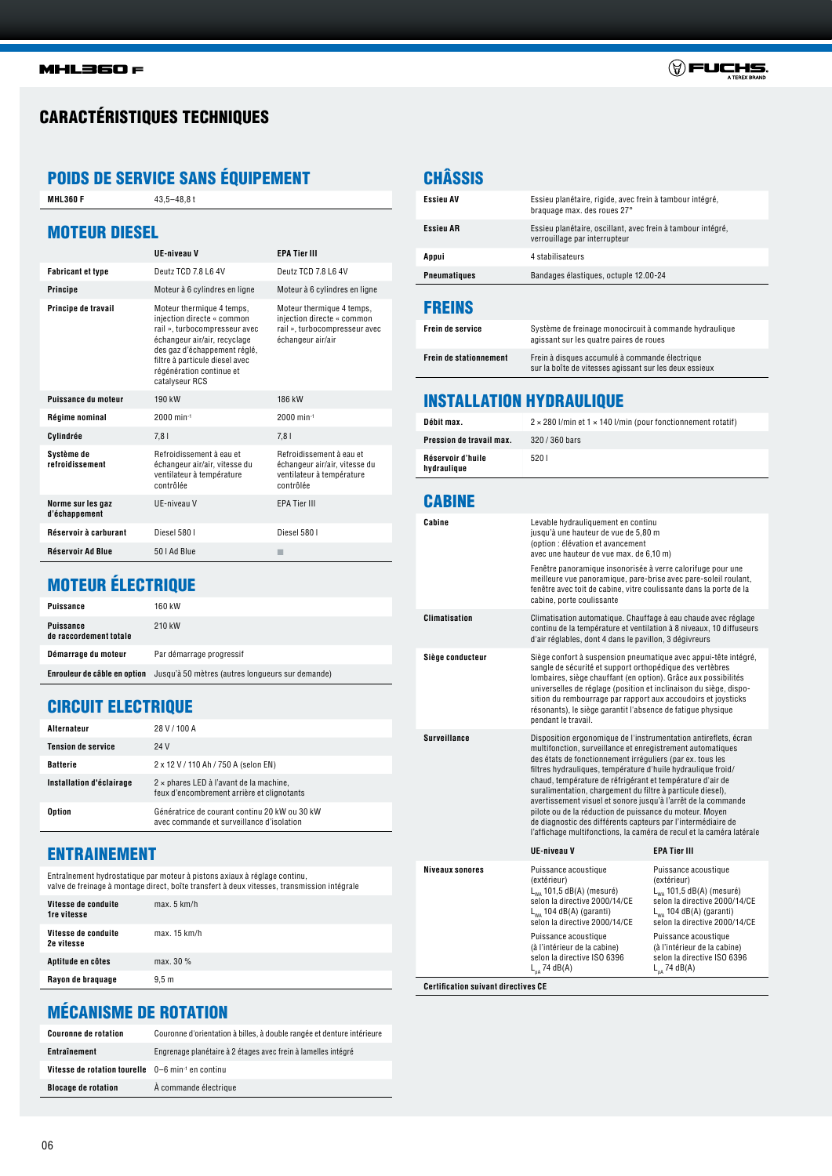

# CARACTÉRISTIQUES TECHNIQUES

# POIDS DE SERVICE SANS ÉQUIPEMENT

| <b>MOTEUR DIESEL</b><br><b>UE-niveau V</b><br><b>EPA Tier III</b><br><b>Fabricant et type</b><br>Deutz TCD 7.8 L6 4V<br>Deutz TCD 7.8 L6 4V<br><b>Principe</b><br>Moteur à 6 cylindres en ligne<br>Moteur à 6 cylindres en ligne<br>Principe de travail<br>Moteur thermique 4 temps,<br>Moteur thermique 4 temps,<br>injection directe « common<br>injection directe « common<br>rail », turbocompresseur avec<br>rail », turbocompresseur avec<br>échangeur air/air, recyclage<br>échangeur air/air<br>des gaz d'échappement réglé,<br>filtre à particule diesel avec<br>régénération continue et<br>catalyseur RCS<br>Puissance du moteur<br>190 kW<br>186 kW<br>2000 min-1<br>Régime nominal<br>$2000$ min-1<br>Cylindrée<br>7,81<br>7.81<br>Système de<br>Refroidissement à eau et<br>Refroidissement à eau et<br>refroidissement<br>échangeur air/air, vitesse du<br>échangeur air/air, vitesse du<br>ventilateur à température<br>ventilateur à température<br>contrôlée<br>contrôlée<br>Norme sur les gaz<br>UE-niveau V<br><b>EPA Tier III</b><br>d'échappement<br>Réservoir à carburant<br>Diesel 580 I<br>Diesel 580 I<br>Réservoir Ad Blue<br>50   Ad Blue<br>п | <b>MHL360 F</b> | $43.5 - 48.8t$ |  |
|----------------------------------------------------------------------------------------------------------------------------------------------------------------------------------------------------------------------------------------------------------------------------------------------------------------------------------------------------------------------------------------------------------------------------------------------------------------------------------------------------------------------------------------------------------------------------------------------------------------------------------------------------------------------------------------------------------------------------------------------------------------------------------------------------------------------------------------------------------------------------------------------------------------------------------------------------------------------------------------------------------------------------------------------------------------------------------------------------------------------------------------------------------------------------|-----------------|----------------|--|
|                                                                                                                                                                                                                                                                                                                                                                                                                                                                                                                                                                                                                                                                                                                                                                                                                                                                                                                                                                                                                                                                                                                                                                            |                 |                |  |
|                                                                                                                                                                                                                                                                                                                                                                                                                                                                                                                                                                                                                                                                                                                                                                                                                                                                                                                                                                                                                                                                                                                                                                            |                 |                |  |
|                                                                                                                                                                                                                                                                                                                                                                                                                                                                                                                                                                                                                                                                                                                                                                                                                                                                                                                                                                                                                                                                                                                                                                            |                 |                |  |
|                                                                                                                                                                                                                                                                                                                                                                                                                                                                                                                                                                                                                                                                                                                                                                                                                                                                                                                                                                                                                                                                                                                                                                            |                 |                |  |
|                                                                                                                                                                                                                                                                                                                                                                                                                                                                                                                                                                                                                                                                                                                                                                                                                                                                                                                                                                                                                                                                                                                                                                            |                 |                |  |
|                                                                                                                                                                                                                                                                                                                                                                                                                                                                                                                                                                                                                                                                                                                                                                                                                                                                                                                                                                                                                                                                                                                                                                            |                 |                |  |
|                                                                                                                                                                                                                                                                                                                                                                                                                                                                                                                                                                                                                                                                                                                                                                                                                                                                                                                                                                                                                                                                                                                                                                            |                 |                |  |
|                                                                                                                                                                                                                                                                                                                                                                                                                                                                                                                                                                                                                                                                                                                                                                                                                                                                                                                                                                                                                                                                                                                                                                            |                 |                |  |
|                                                                                                                                                                                                                                                                                                                                                                                                                                                                                                                                                                                                                                                                                                                                                                                                                                                                                                                                                                                                                                                                                                                                                                            |                 |                |  |
|                                                                                                                                                                                                                                                                                                                                                                                                                                                                                                                                                                                                                                                                                                                                                                                                                                                                                                                                                                                                                                                                                                                                                                            |                 |                |  |
|                                                                                                                                                                                                                                                                                                                                                                                                                                                                                                                                                                                                                                                                                                                                                                                                                                                                                                                                                                                                                                                                                                                                                                            |                 |                |  |
|                                                                                                                                                                                                                                                                                                                                                                                                                                                                                                                                                                                                                                                                                                                                                                                                                                                                                                                                                                                                                                                                                                                                                                            |                 |                |  |

# MOTEUR ÉLECTRIQUE

| <b>Puissance</b>                           | 160 kW                                           |
|--------------------------------------------|--------------------------------------------------|
| <b>Puissance</b><br>de raccordement totale | 210 kW                                           |
| Démarrage du moteur                        | Par démarrage progressif                         |
| Enrouleur de câble en option               | Jusqu'à 50 mètres (autres longueurs sur demande) |

## CIRCUIT ELECTRIQUE

| Alternateur               | 28 V / 100 A                                                                                 |
|---------------------------|----------------------------------------------------------------------------------------------|
| <b>Tension de service</b> | 24 V                                                                                         |
| <b>Batterie</b>           | 2 x 12 V / 110 Ah / 750 A (selon EN)                                                         |
| Installation d'éclairage  | $2 \times$ phares LED à l'avant de la machine,<br>feux d'encombrement arrière et clignotants |
| <b>Option</b>             | Génératrice de courant continu 20 kW ou 30 kW<br>avec commande et surveillance d'isolation   |

#### ENTRAINEMENT

Entraînement hydrostatique par moteur à pistons axiaux à réglage continu, valve de freinage à montage direct, boîte transfert à deux vitesses, transmission intégrale

| Vitesse de conduite<br><b>1re vitesse</b> | max. 5 km/h      |
|-------------------------------------------|------------------|
| Vitesse de conduite<br>2e vitesse         | max. 15 km/h     |
| Aptitude en côtes                         | max. $30\%$      |
| Rayon de braguage                         | 9.5 <sub>m</sub> |

# **CHÂSSIS**

| <b>FREINS</b>       |                                                                                              |
|---------------------|----------------------------------------------------------------------------------------------|
| <b>Pneumatiques</b> | Bandages élastiques, octuple 12.00-24                                                        |
| Appui               | 4 stabilisateurs                                                                             |
| <b>Essieu AR</b>    | Essieu planétaire, oscillant, avec frein à tambour intégré,<br>verrouillage par interrupteur |
| <b>Essieu AV</b>    | Essieu planétaire, rigide, avec frein à tambour intégré,<br>braquage max. des roues 27°      |

| <b>Frein de service</b>       | Système de freinage monocircuit à commande hydraulique<br>agissant sur les quatre paires de roues        |
|-------------------------------|----------------------------------------------------------------------------------------------------------|
| <b>Frein de stationnement</b> | Frein à disques accumulé à commande électrique<br>sur la boîte de vitesses agissant sur les deux essieux |

## INSTALLATION HYDRAULIQUE

| Débit max.                       | $2 \times 280$ l/min et $1 \times 140$ l/min (pour fonctionnement rotatif) |
|----------------------------------|----------------------------------------------------------------------------|
| Pression de travail max.         | 320 / 360 bars                                                             |
| Réservoir d'huile<br>hydraulique | 5201                                                                       |

#### CABINE

| Cabine                 | Levable hydrauliquement en continu<br>jusqu'à une hauteur de vue de 5,80 m<br>(option : élévation et avancement<br>avec une hauteur de vue max. de 6,10 m)<br>Fenêtre panoramique insonorisée à verre calorifuge pour une<br>meilleure vue panoramique, pare-brise avec pare-soleil roulant,<br>fenêtre avec toit de cabine, vitre coulissante dans la porte de la<br>cabine, porte coulissante                                                                                                                                                                                                                                                           |                                                                                                                                                                        |
|------------------------|-----------------------------------------------------------------------------------------------------------------------------------------------------------------------------------------------------------------------------------------------------------------------------------------------------------------------------------------------------------------------------------------------------------------------------------------------------------------------------------------------------------------------------------------------------------------------------------------------------------------------------------------------------------|------------------------------------------------------------------------------------------------------------------------------------------------------------------------|
| <b>Climatisation</b>   | Climatisation automatique. Chauffage à eau chaude avec réglage<br>continu de la température et ventilation à 8 niveaux, 10 diffuseurs<br>d'air réglables, dont 4 dans le pavillon, 3 dégivreurs                                                                                                                                                                                                                                                                                                                                                                                                                                                           |                                                                                                                                                                        |
| Siège conducteur       | Siège confort à suspension pneumatique avec appui-tête intégré,<br>sangle de sécurité et support orthopédique des vertèbres<br>lombaires, siège chauffant (en option). Grâce aux possibilités<br>universelles de réglage (position et inclinaison du siège, dispo-<br>sition du rembourrage par rapport aux accoudoirs et joysticks<br>résonants), le siège garantit l'absence de fatique physique<br>pendant le travail.                                                                                                                                                                                                                                 |                                                                                                                                                                        |
| <b>Surveillance</b>    | Disposition ergonomique de l'instrumentation antireflets, écran<br>multifonction, surveillance et enregistrement automatiques<br>des états de fonctionnement irréguliers (par ex. tous les<br>filtres hydrauliques, température d'huile hydraulique froid/<br>chaud, température de réfrigérant et température d'air de<br>suralimentation, chargement du filtre à particule diesel),<br>avertissement visuel et sonore jusqu'à l'arrêt de la commande<br>pilote ou de la réduction de puissance du moteur. Moyen<br>de diagnostic des différents capteurs par l'intermédiaire de<br>l'affichage multifonctions, la caméra de recul et la caméra latérale |                                                                                                                                                                        |
|                        | <b>UE-niveau V</b>                                                                                                                                                                                                                                                                                                                                                                                                                                                                                                                                                                                                                                        | <b>EPA Tier III</b>                                                                                                                                                    |
| <b>Niveaux sonores</b> | Puissance acoustique<br>(extérieur)<br>$L_{wa}$ 101,5 dB(A) (mesuré)<br>selon la directive 2000/14/CE<br>$L_{wa}$ 104 dB(A) (garanti)<br>selon la directive 2000/14/CE                                                                                                                                                                                                                                                                                                                                                                                                                                                                                    | Puissance acoustique<br>(extérieur)<br>$L_{wa}$ 101,5 dB(A) (mesuré)<br>selon la directive 2000/14/CE<br>$L_{wa}$ 104 dB(A) (garanti)<br>selon la directive 2000/14/CE |
|                        | Puissance acoustique<br>(à l'intérieur de la cabine)<br>selon la directive ISO 6396<br>$L_{DA}$ 74 dB(A)                                                                                                                                                                                                                                                                                                                                                                                                                                                                                                                                                  | Puissance acoustique<br>(à l'intérieur de la cabine)<br>selon la directive ISO 6396<br>$L_{nA}$ 74 dB(A)                                                               |

**Certification suivant directives CE**

# MÉCANISME DE ROTATION

| <b>Couronne de rotation</b>                                   | Couronne d'orientation à billes, à double rangée et denture intérieure |
|---------------------------------------------------------------|------------------------------------------------------------------------|
| Entraînement                                                  | Engrenage planétaire à 2 étages avec frein à lamelles intégré          |
| Vitesse de rotation tourelle 0-6 min <sup>-1</sup> en continu |                                                                        |
| <b>Blocage de rotation</b>                                    | À commande électrique                                                  |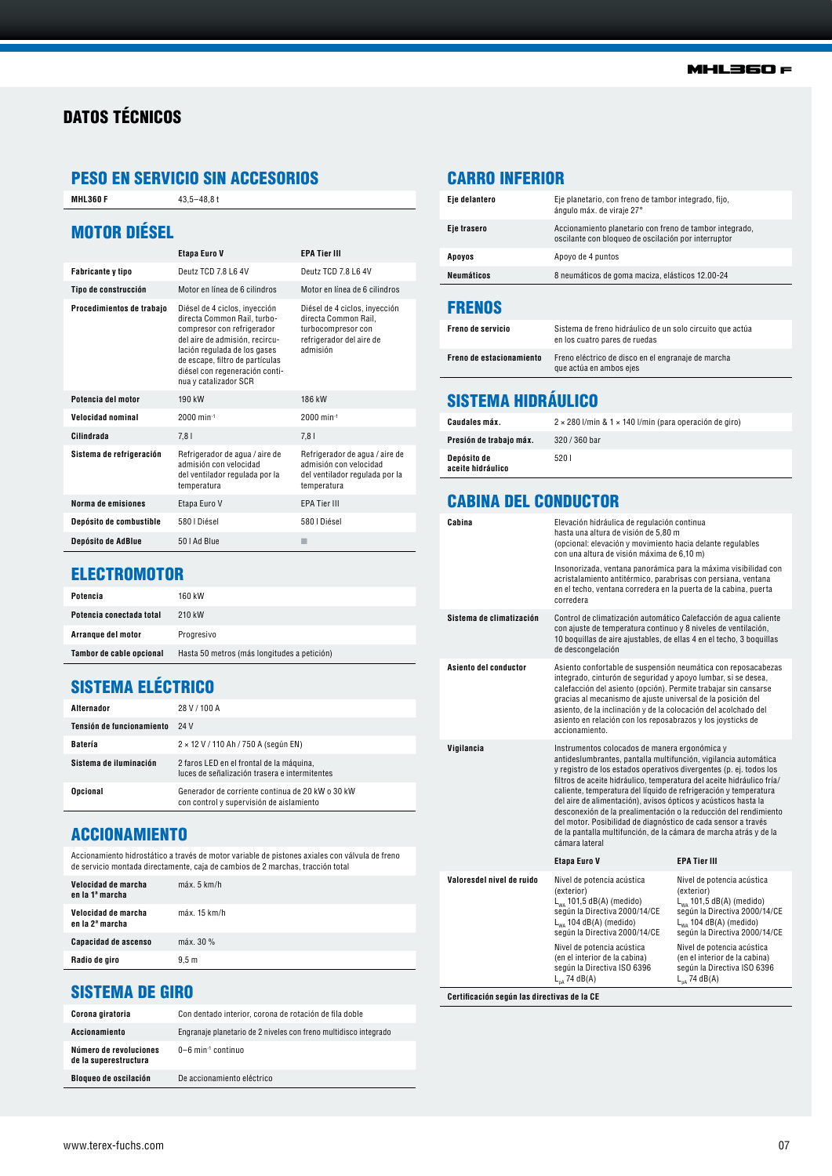# DATOS TÉCNICOS

## PESO EN SERVICIO SIN ACCESORIOS

**MHL360 F** 43,5-48,8 t

## MOTOR DIÉSEL

|                           | Etapa Euro V                                                                                                                                                                                                                                               | <b>EPA Tier III</b>                                                                                                 |
|---------------------------|------------------------------------------------------------------------------------------------------------------------------------------------------------------------------------------------------------------------------------------------------------|---------------------------------------------------------------------------------------------------------------------|
| Fabricante y tipo         | Deutz TCD 7.8 L6 4V                                                                                                                                                                                                                                        | Deutz TCD 78164V                                                                                                    |
| Tipo de construcción      | Motor en línea de 6 cilindros                                                                                                                                                                                                                              | Motor en línea de 6 cilindros                                                                                       |
| Procedimientos de trabajo | Diésel de 4 ciclos, invección<br>directa Common Rail, turbo-<br>compresor con refrigerador<br>del aire de admisión, recircu-<br>lación regulada de los gases<br>de escape, filtro de partículas<br>diésel con regeneración conti-<br>nua y catalizador SCR | Diésel de 4 ciclos, invección<br>directa Common Rail.<br>turbocompresor con<br>refrigerador del aire de<br>admisión |
| Potencia del motor        | 190 kW                                                                                                                                                                                                                                                     | 186 kW                                                                                                              |
| <b>Velocidad nominal</b>  | $2000$ min <sup>-1</sup>                                                                                                                                                                                                                                   | $2000$ min-1                                                                                                        |
| Cilindrada                | 7.81                                                                                                                                                                                                                                                       | 7.81                                                                                                                |
| Sistema de refrigeración  | Refrigerador de agua / aire de<br>admisión con velocidad<br>del ventilador regulada por la<br>temperatura                                                                                                                                                  | Refrigerador de agua / aire de<br>admisión con velocidad<br>del ventilador regulada por la<br>temperatura           |
| Norma de emisiones        | Etapa Euro V                                                                                                                                                                                                                                               | <b>EPA Tier III</b>                                                                                                 |
| Depósito de combustible   | 580   Diésel                                                                                                                                                                                                                                               | 580   Diésel                                                                                                        |
| Depósito de AdBlue        | 50   Ad Blue                                                                                                                                                                                                                                               |                                                                                                                     |

# CARRO INFERIOR

| Neumáticos    | 8 neumáticos de goma maciza, elásticos 12.00-24                                                                |
|---------------|----------------------------------------------------------------------------------------------------------------|
| Apoyos        | Apoyo de 4 puntos                                                                                              |
| Eje trasero   | Accionamiento planetario con freno de tambor integrado,<br>oscilante con bloqueo de oscilación por interruptor |
| Eje delantero | Eje planetario, con freno de tambor integrado, fijo,<br>ángulo máx. de viraje 27°                              |

#### FRENOS

| <b>Freno de servicio</b> | Sistema de freno hidráulico de un solo circuito que actúa<br>en los cuatro pares de ruedas |
|--------------------------|--------------------------------------------------------------------------------------------|
| Freno de estacionamiento | Freno eléctrico de disco en el engranaje de marcha<br>que actúa en ambos ejes              |

# SISTEMA HIDRÁULICO

| Caudales máx.                    | $2 \times 280$ l/min & 1 $\times$ 140 l/min (para operación de giro) |
|----------------------------------|----------------------------------------------------------------------|
| Presión de trabajo máx.          | 320 / 360 bar                                                        |
| Depósito de<br>aceite hidráulico | 5201                                                                 |

## CABINA DEL CONDUCTOR

| Cabina                    | Elevación hidráulica de regulación continua<br>hasta una altura de visión de 5,80 m<br>(opcional: elevación y movimiento hacia delante regulables<br>con una altura de visión máxima de 6.10 m)<br>Insonorizada, ventana panorámica para la máxima visibilidad con<br>acristalamiento antitérmico, parabrisas con persiana, ventana<br>en el techo, ventana corredera en la puerta de la cabina, puerta<br>corredera                                                                                                                                                                                                              |                                                                                                                                                                                          |
|---------------------------|-----------------------------------------------------------------------------------------------------------------------------------------------------------------------------------------------------------------------------------------------------------------------------------------------------------------------------------------------------------------------------------------------------------------------------------------------------------------------------------------------------------------------------------------------------------------------------------------------------------------------------------|------------------------------------------------------------------------------------------------------------------------------------------------------------------------------------------|
| Sistema de climatización  | Control de climatización automático Calefacción de agua caliente<br>con ajuste de temperatura continuo y 8 niveles de ventilación,<br>10 boquillas de aire ajustables, de ellas 4 en el techo, 3 boquillas<br>de descongelación                                                                                                                                                                                                                                                                                                                                                                                                   |                                                                                                                                                                                          |
| Asiento del conductor     | Asiento confortable de suspensión neumática con reposacabezas<br>integrado, cinturón de seguridad y apoyo lumbar, si se desea,<br>calefacción del asiento (opción). Permite trabajar sin cansarse<br>gracias al mecanismo de ajuste universal de la posición del<br>asiento, de la inclinación y de la colocación del acolchado del<br>asiento en relación con los reposabrazos y los joysticks de<br>accionamiento.                                                                                                                                                                                                              |                                                                                                                                                                                          |
| Vigilancia                | Instrumentos colocados de manera ergonómica y<br>antideslumbrantes, pantalla multifunción, vigilancia automática<br>y registro de los estados operativos divergentes (p. ej. todos los<br>filtros de aceite hidráulico, temperatura del aceite hidráulico fría/<br>caliente, temperatura del líquido de refrigeración y temperatura<br>del aire de alimentación), avisos ópticos y acústicos hasta la<br>desconexión de la prealimentación o la reducción del rendimiento<br>del motor. Posibilidad de diagnóstico de cada sensor a través<br>de la pantalla multifunción, de la cámara de marcha atrás y de la<br>cámara lateral |                                                                                                                                                                                          |
|                           | Etapa Euro V                                                                                                                                                                                                                                                                                                                                                                                                                                                                                                                                                                                                                      | <b>EPA Tier III</b>                                                                                                                                                                      |
| Valoresdel nivel de ruido | Nivel de potencia acústica<br>(exterior)<br>$L_{wa}$ 101,5 dB(A) (medido)<br>según la Directiva 2000/14/CE<br>L <sub>wa</sub> 104 dB(A) (medido)<br>según la Directiva 2000/14/CE                                                                                                                                                                                                                                                                                                                                                                                                                                                 | Nivel de potencia acústica<br>(exterior)<br>L <sub>wa</sub> 101,5 dB(A) (medido)<br>según la Directiva 2000/14/CE<br>L <sub>wa</sub> 104 dB(A) (medido)<br>según la Directiva 2000/14/CE |
|                           | Nivel de potencia acústica<br>(en el interior de la cabina)                                                                                                                                                                                                                                                                                                                                                                                                                                                                                                                                                                       | Nivel de potencia acústica<br>(en el interior de la cabina)                                                                                                                              |

## **ELECTROMOTOR**

| Potencia                 | 160 kW                                      |
|--------------------------|---------------------------------------------|
| Potencia conectada total | 210 kW                                      |
| Arrangue del motor       | Progresivo                                  |
| Tambor de cable opcional | Hasta 50 metros (más longitudes a petición) |

# SISTEMA ELÉCTRICO

| Alternador                | 28 V / 100 A                                                                                 |
|---------------------------|----------------------------------------------------------------------------------------------|
| Tensión de funcionamiento | 24 V                                                                                         |
| Batería                   | $2 \times 12$ V / 110 Ah / 750 A (según EN)                                                  |
| Sistema de iluminación    | 2 faros LED en el frontal de la máquina,<br>luces de señalización trasera e intermitentes    |
| <b>Opcional</b>           | Generador de corriente continua de 20 kW o 30 kW<br>con control y supervisión de aislamiento |

#### ACCIONAMIENTO

Accionamiento hidrostático a través de motor variable de pistones axiales con válvula de freno de servicio montada directamente, caja de cambios de 2 marchas, tracción total

| Velocidad de marcha<br>en la 1ª marcha | máx. 5 km/h      |
|----------------------------------------|------------------|
| Velocidad de marcha<br>en la 2ª marcha | máx. 15 km/h     |
| Capacidad de ascenso                   | máx. 30 %        |
| Radio de giro                          | 9.5 <sub>m</sub> |

## SISTEMA DE GIRO

| Corona giratoria                                | Con dentado interior, corona de rotación de fila doble           |
|-------------------------------------------------|------------------------------------------------------------------|
| Accionamiento                                   | Engranaje planetario de 2 niveles con freno multidisco integrado |
| Número de revoluciones<br>de la superestructura | 0-6 min <sup>-1</sup> continuo                                   |
| Bloqueo de oscilación                           | De accionamiento eléctrico                                       |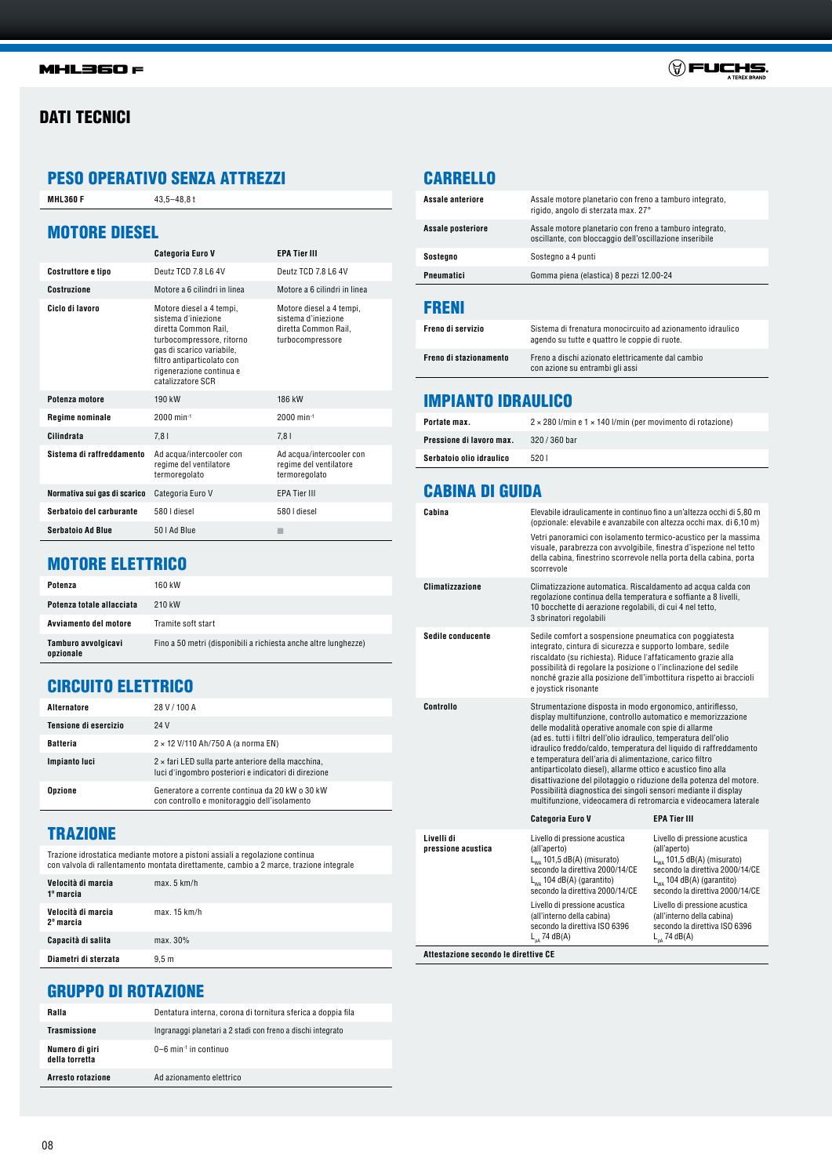#### **MHL360 F**

## DATI TECNICI

## PESO OPERATIVO SENZA ATTREZZI

**MHL360 F** 43,5-48,8 t

| <b>MOTORE DIESEL</b>         |                                                                                                                                                                                                                  |                                                                                             |
|------------------------------|------------------------------------------------------------------------------------------------------------------------------------------------------------------------------------------------------------------|---------------------------------------------------------------------------------------------|
|                              | <b>Categoria Euro V</b>                                                                                                                                                                                          | <b>EPA Tier III</b>                                                                         |
| Costruttore e tipo           | Deutz TCD 7.8 L6 4V                                                                                                                                                                                              | Deutz TCD 7.8 L6 4V                                                                         |
| <b>Costruzione</b>           | Motore a 6 cilindri in linea                                                                                                                                                                                     | Motore a 6 cilindri in linea                                                                |
| Ciclo di Javoro              | Motore diesel a 4 tempi,<br>sistema d'injezione<br>diretta Common Rail.<br>turbocompressore, ritorno<br>gas di scarico variabile,<br>filtro antiparticolato con<br>rigenerazione continua e<br>catalizzatore SCR | Motore diesel a 4 tempi,<br>sistema d'injezione<br>diretta Common Rail.<br>turbocompressore |
| Potenza motore               | 190 kW                                                                                                                                                                                                           | 186 kW                                                                                      |
| <b>Regime nominale</b>       | $2000$ min <sup>-1</sup>                                                                                                                                                                                         | $2000$ min-1                                                                                |
| Cilindrata                   | 7,81                                                                                                                                                                                                             | 7.81                                                                                        |
| Sistema di raffreddamento    | Ad acqua/intercooler con<br>regime del ventilatore<br>termoregolato                                                                                                                                              | Ad acqua/intercooler con<br>regime del ventilatore<br>termoregolato                         |
| Normativa sui gas di scarico | Categoria Euro V                                                                                                                                                                                                 | <b>EPA Tier III</b>                                                                         |
| Serbatoio del carburante     | 580 I diesel                                                                                                                                                                                                     | 580 I diesel                                                                                |
| <b>Serbatoio Ad Blue</b>     | 50   Ad Blue                                                                                                                                                                                                     |                                                                                             |

## MOTORE ELETTRICO

| Potenza                          | 160 kW                                                          |
|----------------------------------|-----------------------------------------------------------------|
| Potenza totale allacciata        | 210 kW                                                          |
| Avviamento del motore            | Tramite soft start                                              |
| Tamburo avvolgicavi<br>opzionale | Fino a 50 metri (disponibili a richiesta anche altre lunghezze) |

## CIRCUITO ELETTRICO

| Alternatore           | 28 V / 100 A                                                                                                      |
|-----------------------|-------------------------------------------------------------------------------------------------------------------|
| Tensione di esercizio | 24 V                                                                                                              |
| <b>Batteria</b>       | $2 \times 12$ V/110 Ah/750 A (a norma EN)                                                                         |
| Impianto luci         | $2 \times$ fari LED sulla parte anteriore della macchina,<br>luci d'ingombro posteriori e indicatori di direzione |
| <b>Opzione</b>        | Generatore a corrente continua da 20 kW o 30 kW<br>con controllo e monitoraggio dell'isolamento                   |

# **TRAZIONE**

Trazione idrostatica mediante motore a pistoni assiali a regolazione continua con valvola di rallentamento montata direttamente, cambio a 2 marce, trazione integrale

| Velocità di marcia<br>1º marcia | max. 5 km/h      |
|---------------------------------|------------------|
| Velocità di marcia<br>2º marcia | max. 15 km/h     |
| Capacità di salita              | max. 30%         |
| Diametri di sterzata            | 9.5 <sub>m</sub> |

# CARRELLO

| 686 VI                  |                                                                                                                    |
|-------------------------|--------------------------------------------------------------------------------------------------------------------|
| Pneumatici              | Gomma piena (elastica) 8 pezzi 12.00-24                                                                            |
| Sostegno                | Sostegno a 4 punti                                                                                                 |
| Assale posteriore       | Assale motore planetario con freno a tamburo integrato,<br>oscillante, con bloccaggio dell'oscillazione inseribile |
| <b>Assale anteriore</b> | Assale motore planetario con freno a tamburo integrato,<br>rigido, angolo di sterzata max. 27°                     |

| Freno di servizio      | Sistema di frenatura monocircuito ad azionamento idraulico<br>agendo su tutte e quattro le coppie di ruote. |
|------------------------|-------------------------------------------------------------------------------------------------------------|
| Freno di stazionamento | Freno a dischi azionato elettricamente dal cambio<br>con azione su entrambi gli assi                        |

## IMPIANTO IDRAULICO

| Portate max.             | $2 \times 280$ l/min e 1 $\times$ 140 l/min (per movimento di rotazione) |
|--------------------------|--------------------------------------------------------------------------|
| Pressione di lavoro max. | $320/360$ bar                                                            |
| Serbatoio olio idraulico | 5201                                                                     |

## CABINA DI GUIDA

| Cabina                           | Elevabile idraulicamente in continuo fino a un'altezza occhi di 5,80 m<br>(opzionale: elevabile e avanzabile con altezza occhi max. di 6,10 m)                                                                                                                                                                                                                                                                                                                                                                                                                                                                                                                       |                                                                                                                                                                                          |
|----------------------------------|----------------------------------------------------------------------------------------------------------------------------------------------------------------------------------------------------------------------------------------------------------------------------------------------------------------------------------------------------------------------------------------------------------------------------------------------------------------------------------------------------------------------------------------------------------------------------------------------------------------------------------------------------------------------|------------------------------------------------------------------------------------------------------------------------------------------------------------------------------------------|
|                                  | Vetri panoramici con isolamento termico-acustico per la massima<br>visuale, parabrezza con avvolgibile, finestra d'ispezione nel tetto<br>della cabina, finestrino scorrevole nella porta della cabina, porta<br>scorrevole                                                                                                                                                                                                                                                                                                                                                                                                                                          |                                                                                                                                                                                          |
| <b>Climatizzazione</b>           | Climatizzazione automatica. Riscaldamento ad acqua calda con<br>regolazione continua della temperatura e soffiante a 8 livelli,<br>10 bocchette di aerazione regolabili, di cui 4 nel tetto,<br>3 sbrinatori regolabili                                                                                                                                                                                                                                                                                                                                                                                                                                              |                                                                                                                                                                                          |
| Sedile conducente                | Sedile comfort a sospensione pneumatica con poggiatesta<br>integrato, cintura di sicurezza e supporto lombare, sedile<br>riscaldato (su richiesta). Riduce l'affaticamento grazie alla<br>possibilità di regolare la posizione o l'inclinazione del sedile<br>nonché grazie alla posizione dell'imbottitura rispetto ai braccioli<br>e joystick risonante                                                                                                                                                                                                                                                                                                            |                                                                                                                                                                                          |
| Controllo                        | Strumentazione disposta in modo ergonomico, antiriflesso,<br>display multifunzione, controllo automatico e memorizzazione<br>delle modalità operative anomale con spie di allarme<br>(ad es. tutti i filtri dell'olio idraulico, temperatura dell'olio<br>idraulico freddo/caldo, temperatura del liquido di raffreddamento<br>e temperatura dell'aria di alimentazione, carico filtro<br>antiparticolato diesel), allarme ottico e acustico fino alla<br>disattivazione del pilotaggio o riduzione della potenza del motore.<br>Possibilità diagnostica dei singoli sensori mediante il display<br>multifunzione, videocamera di retromarcia e videocamera laterale |                                                                                                                                                                                          |
|                                  | <b>Categoria Euro V</b>                                                                                                                                                                                                                                                                                                                                                                                                                                                                                                                                                                                                                                              | <b>EPA Tier III</b>                                                                                                                                                                      |
| Livelli di<br>pressione acustica | Livello di pressione acustica<br>(all'aperto)<br>$L_{wa}$ 101,5 dB(A) (misurato)<br>secondo la direttiva 2000/14/CE<br>$L_{WA}$ 104 dB(A) (garantito)<br>secondo la direttiva 2000/14/CE                                                                                                                                                                                                                                                                                                                                                                                                                                                                             | Livello di pressione acustica<br>(all'aperto)<br>$L_{wa}$ 101,5 dB(A) (misurato)<br>secondo la direttiva 2000/14/CE<br>$L_{WA}$ 104 dB(A) (garantito)<br>secondo la direttiva 2000/14/CE |
|                                  | Livello di pressione acustica<br>(all'interno della cabina)<br>secondo la direttiva ISO 6396<br>$L_{nA}$ 74 dB(A)                                                                                                                                                                                                                                                                                                                                                                                                                                                                                                                                                    | Livello di pressione acustica<br>(all'interno della cabina)<br>secondo la direttiva ISO 6396<br>$L_{nA}$ 74 dB(A)                                                                        |

**Attestazione secondo le direttive CE**

# GRUPPO DI ROTAZIONE

| Ralla                            | Dentatura interna, corona di tornitura sferica a doppia fila |
|----------------------------------|--------------------------------------------------------------|
| <b>Trasmissione</b>              | Ingranaggi planetari a 2 stadi con freno a dischi integrato  |
| Numero di giri<br>della torretta | 0-6 min <sup>-1</sup> in continuo                            |
| Arresto rotazione                | Ad azionamento elettrico                                     |

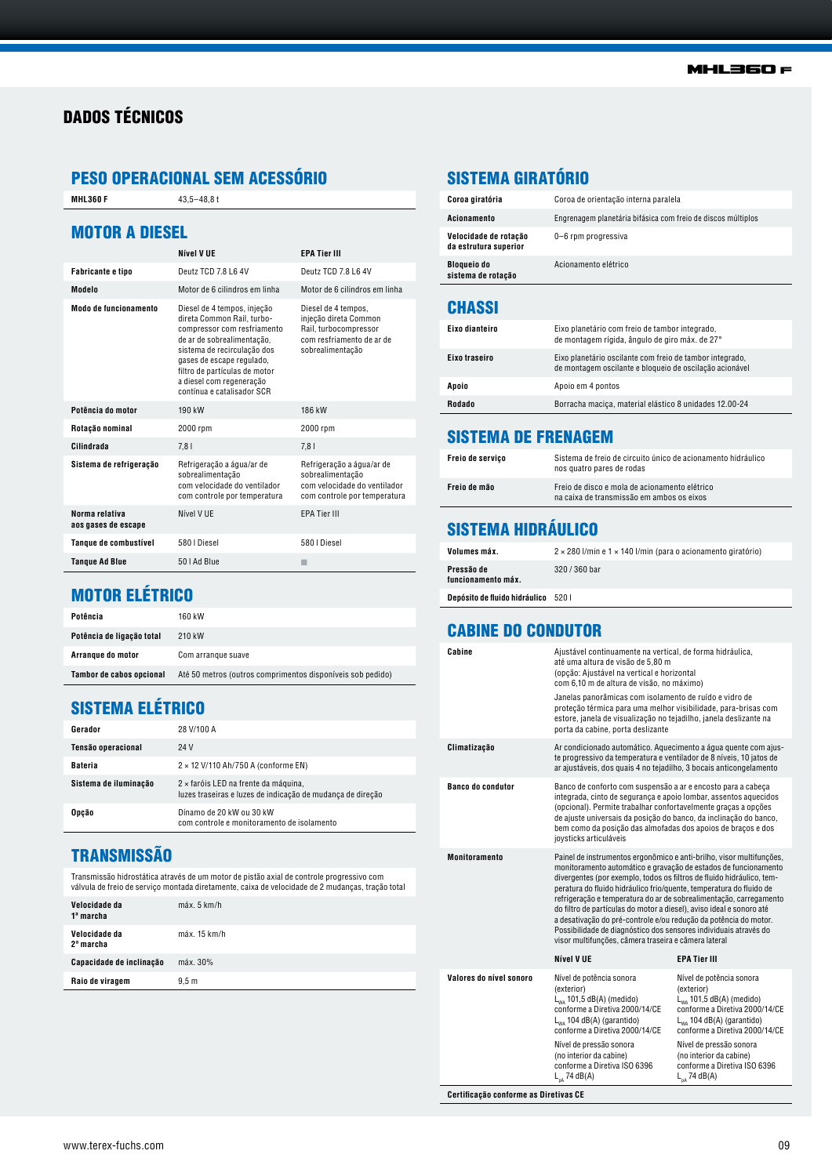# DADOS TÉCNICOS

# PESO OPERACIONAL SEM ACESSÓRIO

**MHL360 F** 43,5-48,8 t

#### MOTOR A DIESEL

|                                       | Nível V UE                                                                                                                                                                                                                                                                    | <b>EPA Tier III</b>                                                                                                    |
|---------------------------------------|-------------------------------------------------------------------------------------------------------------------------------------------------------------------------------------------------------------------------------------------------------------------------------|------------------------------------------------------------------------------------------------------------------------|
| Fabricante e tipo                     | Deutz TCD 7.8 L6 4V                                                                                                                                                                                                                                                           | Deutz TCD 7.8 L6 4V                                                                                                    |
| Modelo                                | Motor de 6 cilindros em linha                                                                                                                                                                                                                                                 | Motor de 6 cilindros em linha                                                                                          |
| Modo de funcionamento                 | Diesel de 4 tempos, injeção<br>direta Common Rail, turbo-<br>compressor com resfriamento<br>de ar de sobrealimentação,<br>sistema de recirculação dos<br>gases de escape regulado,<br>filtro de partículas de motor<br>a diesel com regeneração<br>contínua e catalisador SCR | Diesel de 4 tempos,<br>injeção direta Common<br>Rail, turbocompressor<br>com resfriamento de ar de<br>sobrealimentação |
| Potência do motor                     | 190 kW                                                                                                                                                                                                                                                                        | 186 kW                                                                                                                 |
| Rotação nominal                       | 2000 rpm                                                                                                                                                                                                                                                                      | 2000 rpm                                                                                                               |
| Cilindrada                            | 7,81                                                                                                                                                                                                                                                                          | 7,81                                                                                                                   |
| Sistema de refrigeração               | Refrigeração a água/ar de<br>sobrealimentação<br>com velocidade do ventilador<br>com controle por temperatura                                                                                                                                                                 | Refrigeração a água/ar de<br>sobrealimentação<br>com velocidade do ventilador<br>com controle por temperatura          |
| Norma relativa<br>aos gases de escape | Nível V UE                                                                                                                                                                                                                                                                    | <b>EPA Tier III</b>                                                                                                    |
| Tanque de combustível                 | 580   Diesel                                                                                                                                                                                                                                                                  | 580   Diesel                                                                                                           |
| <b>Tangue Ad Blue</b>                 | 50   Ad Blue                                                                                                                                                                                                                                                                  |                                                                                                                        |

# SISTEMA GIRATÓRIO

| Coroa giratória                                | Coroa de orientação interna paralela                         |
|------------------------------------------------|--------------------------------------------------------------|
| Acionamento                                    | Engrenagem planetária bifásica com freio de discos múltiplos |
| Velocidade de rotação<br>da estrutura superior | 0-6 rpm progressiva                                          |
| <b>Bloqueio do</b><br>sistema de rotação       | Acionamento elétrico                                         |
|                                                |                                                              |

#### **CHASSI**

| Eixo dianteiro | Eixo planetário com freio de tambor integrado,<br>de montagem rígida, ângulo de giro máx. de 27°                    |
|----------------|---------------------------------------------------------------------------------------------------------------------|
| Eixo traseiro  | Eixo planetário oscilante com freio de tambor integrado,<br>de montagem oscilante e bloqueio de oscilação acionável |
| Apoio          | Apoio em 4 pontos                                                                                                   |
| Rodado         | Borracha macica, material elástico 8 unidades 12.00-24                                                              |

#### SISTEMA DE FRENAGEM

| Freio de servico | Sistema de freio de circuito único de acionamento hidráulico<br>nos quatro pares de rodas  |
|------------------|--------------------------------------------------------------------------------------------|
| Freio de mão     | Freio de disco e mola de acionamento elétrico<br>na caixa de transmissão em ambos os eixos |
|                  |                                                                                            |

# SISTEMA HIDRÁULICO

| Volumes máx.                               | $2 \times 280$ l/min e 1 $\times$ 140 l/min (para o acionamento giratório) |
|--------------------------------------------|----------------------------------------------------------------------------|
| Pressão de<br>funcionamento máx.           | $320/360$ bar                                                              |
| <b>Depósito de fluido hidráulico</b> 520 l |                                                                            |

#### CABINE DO CONDUTOR

| Cabine                                | Ajustável continuamente na vertical, de forma hidráulica,<br>até uma altura de visão de 5,80 m<br>(opção: Ajustável na vertical e horizontal<br>com 6,10 m de altura de visão, no máximo)<br>Janelas panorâmicas com isolamento de ruído e vidro de<br>proteção térmica para uma melhor visibilidade, para-brisas com<br>estore, janela de visualização no tejadilho, janela deslizante na<br>porta da cabine, porta deslizante                                                                                                                                                                                                       |                                                                                                                                                                               |  |  |  |
|---------------------------------------|---------------------------------------------------------------------------------------------------------------------------------------------------------------------------------------------------------------------------------------------------------------------------------------------------------------------------------------------------------------------------------------------------------------------------------------------------------------------------------------------------------------------------------------------------------------------------------------------------------------------------------------|-------------------------------------------------------------------------------------------------------------------------------------------------------------------------------|--|--|--|
| Climatização                          | Ar condicionado automático. Aquecimento a água quente com ajus-<br>te progressivo da temperatura e ventilador de 8 níveis, 10 jatos de<br>ar ajustáveis, dos quais 4 no tejadilho, 3 bocais anticongelamento                                                                                                                                                                                                                                                                                                                                                                                                                          |                                                                                                                                                                               |  |  |  |
| <b>Banco do condutor</b>              | Banco de conforto com suspensão a ar e encosto para a cabeça<br>integrada, cinto de segurança e apoio lombar, assentos aquecidos<br>(opcional). Permite trabalhar confortavelmente graças a opções<br>de ajuste universais da posição do banco, da inclinação do banco,<br>bem como da posição das almofadas dos apoios de braços e dos<br>joysticks articuláveis                                                                                                                                                                                                                                                                     |                                                                                                                                                                               |  |  |  |
| <b>Monitoramento</b>                  | Painel de instrumentos ergonômico e anti-brilho, visor multifunções,<br>monitoramento automático e gravação de estados de funcionamento<br>divergentes (por exemplo, todos os filtros de fluido hidráulico, tem-<br>peratura do fluido hidráulico frio/quente, temperatura do fluido de<br>refrigeração e temperatura do ar de sobrealimentação, carregamento<br>do filtro de partículas do motor a diesel), aviso ideal e sonoro até<br>a desativação do pré-controle e/ou redução da potência do motor.<br>Possibilidade de diagnóstico dos sensores individuais através do<br>visor multifunções, câmera traseira e câmera lateral |                                                                                                                                                                               |  |  |  |
|                                       | Nível V UE                                                                                                                                                                                                                                                                                                                                                                                                                                                                                                                                                                                                                            | <b>EPA Tier III</b>                                                                                                                                                           |  |  |  |
| Valores do nível sonoro               | Nível de potência sonora<br>(exterior)<br>$L_{wa}$ 101,5 dB(A) (medido)<br>conforme a Diretiva 2000/14/CE<br>L <sub>wa</sub> 104 dB(A) (garantido)<br>conforme a Diretiva 2000/14/CE                                                                                                                                                                                                                                                                                                                                                                                                                                                  | Nível de potência sonora<br>(exterior)<br>$L_{wa}$ 101,5 dB(A) (medido)<br>conforme a Diretiva 2000/14/CE<br>$L_{wa}$ 104 dB(A) (garantido)<br>conforme a Diretiva 2000/14/CE |  |  |  |
|                                       | Nível de pressão sonora<br>(no interior da cabine)<br>conforme a Diretiva ISO 6396<br>$L_{nA}$ 74 dB(A)                                                                                                                                                                                                                                                                                                                                                                                                                                                                                                                               | Nível de pressão sonora<br>(no interior da cabine)<br>conforme a Diretiva ISO 6396<br>$L_{DA}$ 74 dB(A)                                                                       |  |  |  |
| Certificação conforme as Diretivas CE |                                                                                                                                                                                                                                                                                                                                                                                                                                                                                                                                                                                                                                       |                                                                                                                                                                               |  |  |  |

# MOTOR ELÉTRICO

| Potência                  | 160 kW                                                     |
|---------------------------|------------------------------------------------------------|
| Potência de ligação total | 210 kW                                                     |
| Arrangue do motor         | Com arrangue suave                                         |
| Tambor de cabos opcional  | Até 50 metros (outros comprimentos disponíveis sob pedido) |

## SISTEMA ELÉTRICO

| Gerador               | 28 V/100 A                                                                                         |
|-----------------------|----------------------------------------------------------------------------------------------------|
| Tensão operacional    | 24 V                                                                                               |
| <b>Bateria</b>        | $2 \times 12$ V/110 Ah/750 A (conforme EN)                                                         |
| Sistema de iluminação | 2 × faróis LED na frente da máquina,<br>luzes traseiras e luzes de indicação de mudança de direção |
| Opcão                 | Dínamo de 20 kW ou 30 kW<br>com controle e monitoramento de isolamento                             |

## **TRANSMISSÃO**

Transmissão hidrostática através de um motor de pistão axial de controle progressivo com válvula de freio de serviço montada diretamente, caixa de velocidade de 2 mudanças, tração total

| Velocidade da<br>1ª marcha             | max.5 km/h       |
|----------------------------------------|------------------|
| Velocidade da<br>2 <sup>ª</sup> marcha | max. 15 km/h     |
| Capacidade de inclinação               | máx. 30%         |
| Raio de viragem                        | 9.5 <sub>m</sub> |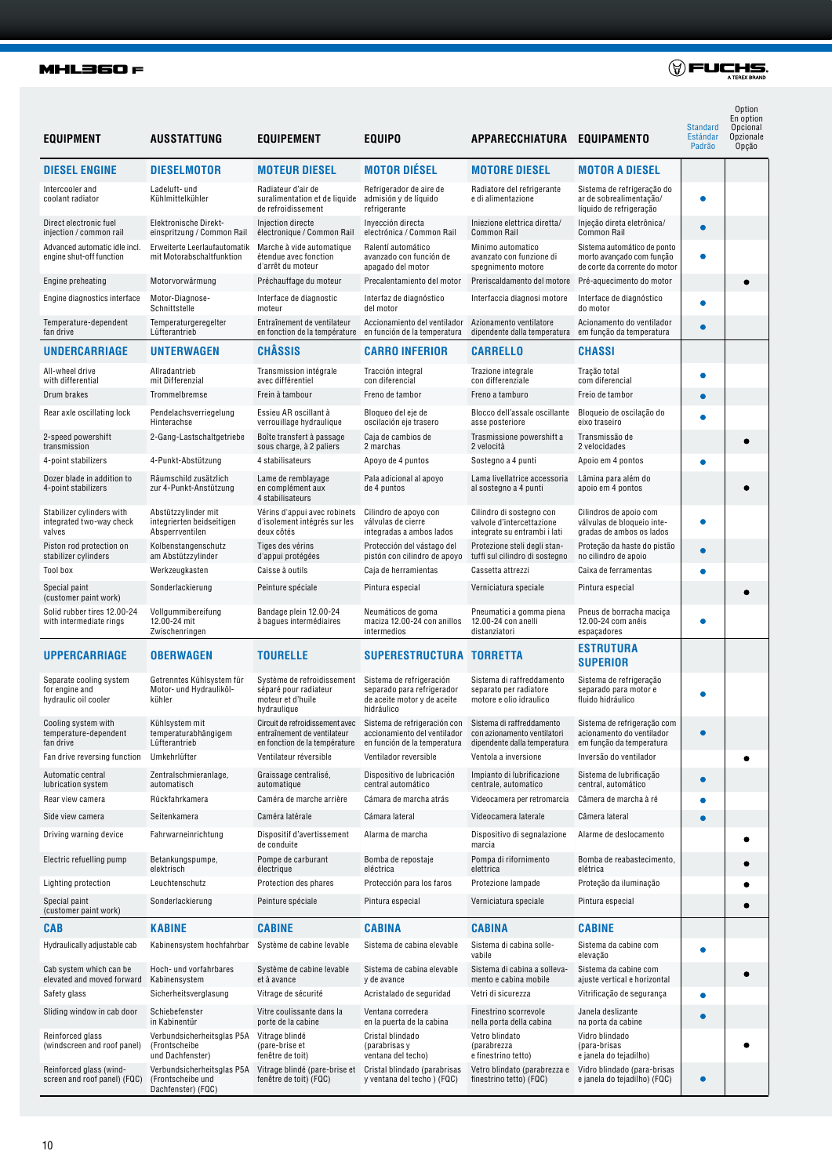#### **MHL360 F**

| <b>EQUIPMENT</b>                                                  | AUSSTATTUNG                                                           | EQUIPEMENT                                                                              | <b>EQUIPO</b>                                                                                                                                                                      | APPARECCHIATURA EQUIPAMENTO                                                           |                                                                                           | Standard<br>Estándar<br>Padrão | Option<br>En option<br>Opcional<br>Opzionale<br>Opção |
|-------------------------------------------------------------------|-----------------------------------------------------------------------|-----------------------------------------------------------------------------------------|------------------------------------------------------------------------------------------------------------------------------------------------------------------------------------|---------------------------------------------------------------------------------------|-------------------------------------------------------------------------------------------|--------------------------------|-------------------------------------------------------|
| <b>DIESEL ENGINE</b>                                              | <b>DIESELMOTOR</b>                                                    | <b>MOTEUR DIESEL</b>                                                                    | <b>MOTOR DIÉSEL</b>                                                                                                                                                                | <b>MOTORE DIESEL</b>                                                                  | <b>MOTOR A DIESEL</b>                                                                     |                                |                                                       |
| Intercooler and<br>coolant radiator                               | Ladeluft- und<br>Kühlmittelkühler                                     | Radiateur d'air de<br>suralimentation et de liquide<br>de refroidissement               | Refrigerador de aire de<br>admisión y de líquido<br>refrigerante                                                                                                                   | Radiatore del refrigerante<br>e di alimentazione                                      | Sistema de refrigeração do<br>ar de sobrealimentação/<br>líquido de refrigeração          |                                |                                                       |
| Direct electronic fuel<br>injection / common rail                 | Elektronische Direkt-<br>einspritzung / Common Rail                   | Injection directe<br>électronique / Common Rail                                         | Inyección directa<br>electrónica / Common Rail                                                                                                                                     | Iniezione elettrica diretta/<br><b>Common Rail</b>                                    | Injeção direta eletrônica/<br>Common Rail                                                 | $\bullet$                      |                                                       |
| Advanced automatic idle incl.<br>engine shut-off function         | Erweiterte Leerlaufautomatik<br>mit Motorabschaltfunktion             | Marche à vide automatique<br>étendue avec fonction<br>d'arrêt du moteur                 | Ralentí automático<br>avanzado con función de<br>apagado del motor                                                                                                                 | Minimo automatico<br>avanzato con funzione di<br>spegnimento motore                   | Sistema automático de ponto<br>morto avançado com função<br>de corte da corrente do motor | ●                              |                                                       |
| Engine preheating                                                 | Motorvorwärmung                                                       | Préchauffage du moteur                                                                  | Precalentamiento del motor                                                                                                                                                         | Preriscaldamento del motore                                                           | Pré-aquecimento do motor                                                                  |                                |                                                       |
| Engine diagnostics interface                                      | Motor-Diagnose-<br>Schnittstelle                                      | Interface de diagnostic<br>moteur                                                       | Interfaz de diagnóstico<br>del motor                                                                                                                                               | Interfaccia diagnosi motore                                                           | Interface de diagnóstico<br>do motor                                                      | $\bullet$                      |                                                       |
| Temperature-dependent<br>fan drive                                | Temperaturgeregelter<br>Lüfterantrieb                                 | Entraînement de ventilateur<br>en fonction de la température                            | Accionamiento del ventilador<br>en función de la temperatura                                                                                                                       | Azionamento ventilatore<br>dipendente dalla temperatura                               | Acionamento do ventilador<br>em função da temperatura                                     |                                |                                                       |
| <b>UNDERCARRIAGE</b>                                              | <b>UNTERWAGEN</b>                                                     | <b>CHÂSSIS</b>                                                                          | <b>CARRO INFERIOR</b>                                                                                                                                                              | <b>CARRELLO</b>                                                                       | <b>CHASSI</b>                                                                             |                                |                                                       |
| All-wheel drive<br>with differential                              | Allradantrieb<br>mit Differenzial                                     | Transmission intégrale<br>avec différentiel                                             | Tracción integral<br>con diferencial                                                                                                                                               | Trazione integrale<br>con differenziale                                               | Tração total<br>com diferencial                                                           | $\bullet$                      |                                                       |
| Drum brakes                                                       | Trommelbremse                                                         | Frein à tambour                                                                         | Freno de tambor                                                                                                                                                                    | Freno a tamburo                                                                       | Freio de tambor                                                                           |                                |                                                       |
| Rear axle oscillating lock                                        | Pendelachsverriegelung<br>Hinterachse                                 | Essieu AR oscillant à<br>verrouillage hydraulique                                       | Bloqueo del eje de<br>oscilación eje trasero                                                                                                                                       | Blocco dell'assale oscillante<br>asse posteriore                                      | Bloqueio de oscilação do<br>eixo traseiro                                                 |                                |                                                       |
| 2-speed powershift<br>transmission                                | 2-Gang-Lastschaltgetriebe                                             | Boîte transfert à passage<br>sous charge, à 2 paliers                                   | Caja de cambios de<br>2 marchas                                                                                                                                                    | Trasmissione powershift a<br>2 velocità                                               | Transmissão de<br>2 velocidades                                                           |                                |                                                       |
| 4-point stabilizers                                               | 4-Punkt-Abstützung                                                    | 4 stabilisateurs                                                                        | Apoyo de 4 puntos                                                                                                                                                                  | Sostegno a 4 punti                                                                    | Apoio em 4 pontos                                                                         | ۸                              |                                                       |
| Dozer blade in addition to<br>4-point stabilizers                 | Räumschild zusätzlich<br>zur 4-Punkt-Anstützung                       | Lame de remblayage<br>en complément aux<br>4 stabilisateurs                             | Pala adicional al apoyo<br>de 4 puntos                                                                                                                                             | Lama livellatrice accessoria<br>al sostegno a 4 punti                                 | Lâmina para além do<br>apoio em 4 pontos                                                  |                                |                                                       |
| Stabilizer cylinders with<br>integrated two-way check<br>valves   | Abstützzylinder mit<br>integrierten beidseitigen<br>Absperrventilen   | Vérins d'appui avec robinets<br>d'isolement intégrés sur les<br>deux côtés              | Cilindro de apoyo con<br>válvulas de cierre<br>integradas a ambos lados                                                                                                            | Cilindro di sostegno con<br>valvole d'intercettazione<br>integrate su entrambi i lati | Cilindros de apoio com<br>válvulas de bloqueio inte-<br>gradas de ambos os lados          | ٠                              |                                                       |
| Piston rod protection on<br>stabilizer cylinders                  | Kolbenstangenschutz<br>am Abstützzylinder                             | Tiges des vérins<br>d'appui protégées                                                   | Protección del vástago del<br>pistón con cilindro de apoyo                                                                                                                         | Protezione steli degli stan-<br>tuffi sul cilindro di sostegno                        | Proteção da haste do pistão<br>no cilindro de apoio                                       | ●                              |                                                       |
| Tool box                                                          | Werkzeugkasten                                                        | Caisse à outils                                                                         | Caja de herramientas                                                                                                                                                               | Cassetta attrezzi                                                                     | Caixa de ferramentas                                                                      |                                |                                                       |
| Special paint<br>(customer paint work)                            | Sonderlackierung                                                      | Peinture spéciale                                                                       | Pintura especial                                                                                                                                                                   | Verniciatura speciale                                                                 | Pintura especial                                                                          |                                |                                                       |
| Solid rubber tires 12.00-24<br>with intermediate rings            | Vollgummibereifung<br>12.00-24 mit<br>Zwischenringen                  | Bandage plein 12.00-24<br>à bagues intermédiaires                                       | Neumáticos de goma<br>maciza 12.00-24 con anillos<br>intermedios                                                                                                                   | Pneumatici a gomma piena<br>12.00-24 con anelli<br>distanziatori                      | Pneus de borracha maciça<br>12.00-24 com anéis<br>espaçadores                             | $\bullet$                      |                                                       |
| <b>UPPERCARRIAGE</b>                                              | <b>OBERWAGEN</b>                                                      | <b>TOURELLE</b>                                                                         | SUPERESTRUCTURA TORRETTA                                                                                                                                                           |                                                                                       | <b>ESTRUTURA</b><br><b>SUPERIOR</b>                                                       |                                |                                                       |
| Separate cooling system<br>for engine and<br>hydraulic oil cooler | Getrenntes Kühlsystem für<br>Motor- und Hydrauliköl-<br>kühler        | Système de refroidissement<br>séparé pour radiateur<br>moteur et d'huile<br>hydraulique | Sistema de refrigeración<br>separado para refrigerador<br>de aceite motor y de aceite<br>hidráulico                                                                                | Sistema di raffreddamento<br>separato per radiatore<br>motore e olio idraulico        | Sistema de refrigeração<br>separado para motor e<br>fluido hidráulico                     |                                |                                                       |
| Cooling system with<br>temperature-dependent<br>fan drive         | Kühlsystem mit<br>temperaturabhängigem<br>Lüfterantrieb               | entraînement de ventilateur<br>en fonction de la température                            | Circuit de refroidissement avec Sistema de refrigeración con Sistema di raffreddamento<br>accionamiento del ventilador con azionamento ventilatori<br>en función de la temperatura | dipendente dalla temperatura                                                          | Sistema de refrigeração com<br>acionamento do ventilador<br>em função da temperatura      | $\bullet$                      |                                                       |
| Fan drive reversing function                                      | Umkehrlüfter                                                          | Ventilateur réversible                                                                  | Ventilador reversible                                                                                                                                                              | Ventola a inversione                                                                  | Inversão do ventilador                                                                    |                                |                                                       |
| Automatic central<br>lubrication system                           | Zentralschmieranlage,<br>automatisch                                  | Graissage centralisé,<br>automatique                                                    | Dispositivo de lubricación<br>central automático                                                                                                                                   | Impianto di lubrificazione<br>centrale, automatico                                    | Sistema de lubrificação<br>central, automático                                            |                                |                                                       |
| Rear view camera                                                  | Rückfahrkamera                                                        | Caméra de marche arrière                                                                | Cámara de marcha atrás                                                                                                                                                             | Videocamera per retromarcia                                                           | Câmera de marcha à ré                                                                     |                                |                                                       |
| Side view camera                                                  | Seitenkamera                                                          | Caméra latérale                                                                         | Cámara lateral                                                                                                                                                                     | Videocamera laterale                                                                  | Câmera lateral                                                                            |                                |                                                       |
| Driving warning device                                            | Fahrwarneinrichtung                                                   | Dispositif d'avertissement<br>de conduite                                               | Alarma de marcha                                                                                                                                                                   | Dispositivo di segnalazione<br>marcia                                                 | Alarme de deslocamento                                                                    |                                |                                                       |
| Electric refuelling pump                                          | Betankungspumpe,<br>elektrisch                                        | Pompe de carburant<br>électrique                                                        | Bomba de repostaje<br>eléctrica                                                                                                                                                    | Pompa di rifornimento<br>elettrica                                                    | Bomba de reabastecimento,<br>elétrica                                                     |                                |                                                       |
| Lighting protection                                               | Leuchtenschutz                                                        | Protection des phares                                                                   | Protección para los faros                                                                                                                                                          | Protezione lampade                                                                    | Proteção da iluminação                                                                    |                                |                                                       |
| Special paint<br>(customer paint work)                            | Sonderlackierung                                                      | Peinture spéciale                                                                       | Pintura especial                                                                                                                                                                   | Verniciatura speciale                                                                 | Pintura especial                                                                          |                                |                                                       |
| <b>CAB</b>                                                        | <b>KABINE</b>                                                         | <b>CABINE</b>                                                                           | <b>CABINA</b>                                                                                                                                                                      | <b>CABINA</b>                                                                         | <b>CABINE</b>                                                                             |                                |                                                       |
| Hydraulically adjustable cab                                      | Kabinensystem hochfahrbar Système de cabine levable                   |                                                                                         | Sistema de cabina elevable                                                                                                                                                         | Sistema di cabina solle-<br>vabile                                                    | Sistema da cabine com<br>elevação                                                         |                                |                                                       |
| Cab system which can be<br>elevated and moved forward             | Hoch- und vorfahrbares<br>Kabinensystem                               | Système de cabine levable<br>et à avance                                                | Sistema de cabina elevable<br>y de avance                                                                                                                                          | Sistema di cabina a solleva-<br>mento e cabina mobile                                 | Sistema da cabine com<br>ajuste vertical e horizontal                                     |                                |                                                       |
| Safety glass                                                      | Sicherheitsverglasung                                                 | Vitrage de sécurité                                                                     | Acristalado de seguridad                                                                                                                                                           | Vetri di sicurezza                                                                    | Vitrificação de segurança                                                                 |                                |                                                       |
| Sliding window in cab door                                        | Schiebefenster<br>in Kabinentür                                       | Vitre coulissante dans la<br>porte de la cabine                                         | Ventana corredera<br>en la puerta de la cabina                                                                                                                                     | Finestrino scorrevole<br>nella porta della cabina                                     | Janela deslizante<br>na porta da cabine                                                   |                                |                                                       |
| Reinforced glass<br>(windscreen and roof panel)                   | Verbundsicherheitsglas P5A<br>(Frontscheibe<br>und Dachfenster)       | Vitrage blindé<br>(pare-brise et<br>fenêtre de toit)                                    | Cristal blindado<br>(parabrisas y<br>ventana del techo)                                                                                                                            | Vetro blindato<br>(parabrezza<br>e finestrino tetto)                                  | Vidro blindado<br>(para-brisas<br>e janela do tejadilho)                                  |                                |                                                       |
| Reinforced glass (wind-<br>screen and roof panel) (FQC)           | Verbundsicherheitsglas P5A<br>(Frontscheibe und<br>Dachfenster) (FQC) | Vitrage blindé (pare-brise et<br>fenêtre de toit) (FQC)                                 | Cristal blindado (parabrisas<br>y ventana del techo) (FQC)                                                                                                                         | Vetro blindato (parabrezza e<br>finestrino tetto) (FQC)                               | Vidro blindado (para-brisas<br>e janela do tejadilho) (FQC)                               |                                |                                                       |

 $\textcircled{y} \text{FUCHS},$ 

#### 10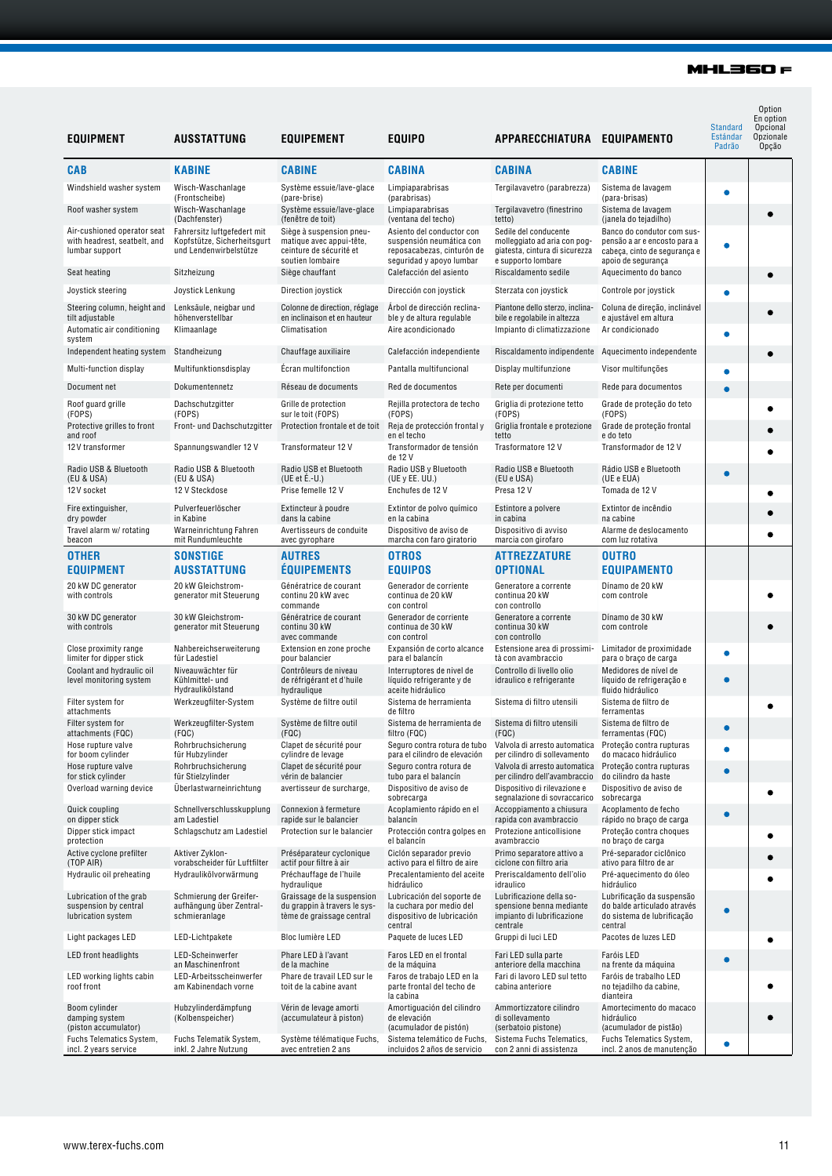#### **MHL360 F**

| <b>EQUIPMENT</b>                                                                       | <b>AUSSTATTUNG</b>                                                                                    | <b>EQUIPEMENT</b>                                                                                                        | <b>EQUIPO</b>                                                                                                                          | APPARECCHIATURA EQUIPAMENTO                                                                                             |                                                                                                                                           | <b>Standard</b><br>Estándar<br>Padrão | Option<br>En option<br>Opcional<br>Opzionale<br>Opção |
|----------------------------------------------------------------------------------------|-------------------------------------------------------------------------------------------------------|--------------------------------------------------------------------------------------------------------------------------|----------------------------------------------------------------------------------------------------------------------------------------|-------------------------------------------------------------------------------------------------------------------------|-------------------------------------------------------------------------------------------------------------------------------------------|---------------------------------------|-------------------------------------------------------|
| <b>CAB</b>                                                                             | <b>KABINE</b>                                                                                         | <b>CABINE</b>                                                                                                            | <b>CABINA</b>                                                                                                                          | <b>CABINA</b>                                                                                                           | <b>CABINE</b>                                                                                                                             |                                       |                                                       |
| Windshield washer system                                                               | Wisch-Waschanlage                                                                                     | Système essuie/lave-glace                                                                                                | Limpiaparabrisas                                                                                                                       | Tergilavavetro (parabrezza)                                                                                             | Sistema de lavagem                                                                                                                        | Ŏ                                     |                                                       |
| Roof washer system                                                                     | (Frontscheibe)<br>Wisch-Waschanlage                                                                   | (pare-brise)<br>Système essuie/lave-glace                                                                                | (parabrisas)<br>Limpiaparabrisas                                                                                                       | Tergilavavetro (finestrino                                                                                              | (para-brisas)<br>Sistema de lavagem                                                                                                       |                                       |                                                       |
| Air-cushioned operator seat<br>with headrest, seatbelt, and<br>lumbar support          | (Dachfenster)<br>Fahrersitz luftgefedert mit<br>Kopfstütze, Sicherheitsgurt<br>und Lendenwirbelstütze | (fenêtre de toit)<br>Siège à suspension pneu-<br>matique avec appui-tête,<br>ceinture de sécurité et<br>soutien lombaire | (ventana del techo)<br>Asiento del conductor con<br>suspensión neumática con<br>reposacabezas, cinturón de<br>seguridad y apoyo lumbar | tetto)<br>Sedile del conducente<br>molleggiato ad aria con pog-<br>giatesta, cintura di sicurezza<br>e supporto lombare | (janela do tejadilho)<br>Banco do condutor com sus-<br>pensão a ar e encosto para a<br>cabeça, cinto de segurança e<br>apoio de segurança | e                                     |                                                       |
| Seat heating                                                                           | Sitzheizung                                                                                           | Siège chauffant                                                                                                          | Calefacción del asiento                                                                                                                | Riscaldamento sedile                                                                                                    | Aquecimento do banco                                                                                                                      |                                       | $\bullet$                                             |
| Joystick steering                                                                      | Joystick Lenkung                                                                                      | Direction joystick                                                                                                       | Dirección con joystick                                                                                                                 | Sterzata con joystick                                                                                                   | Controle por joystick                                                                                                                     | Ó                                     |                                                       |
| Steering column, height and<br>tilt adjustable<br>Automatic air conditioning<br>system | Lenksäule, neigbar und<br>höhenverstellbar<br>Klimaanlage                                             | Colonne de direction, réglage<br>en inclinaison et en hauteur<br>Climatisation                                           | Árbol de dirección reclina-<br>ble y de altura regulable<br>Aire acondicionado                                                         | Piantone dello sterzo, inclina-<br>bile e regolabile in altezza<br>Impianto di climatizzazione                          | Coluna de direção, inclinável<br>e ajustável em altura<br>Ar condicionado                                                                 | Ó                                     |                                                       |
| Independent heating system                                                             | Standheizung                                                                                          | Chauffage auxiliaire                                                                                                     | Calefacción independiente                                                                                                              | Riscaldamento indipendente                                                                                              | Aquecimento independente                                                                                                                  |                                       |                                                       |
| Multi-function display                                                                 | Multifunktionsdisplay                                                                                 | Ecran multifonction                                                                                                      | Pantalla multifuncional                                                                                                                | Display multifunzione                                                                                                   | Visor multifunções                                                                                                                        | O                                     |                                                       |
| Document net                                                                           | Dokumentennetz                                                                                        | Réseau de documents                                                                                                      | Red de documentos                                                                                                                      | Rete per documenti                                                                                                      | Rede para documentos                                                                                                                      |                                       |                                                       |
| Roof guard grille<br>(FOPS)<br>Protective grilles to front<br>and roof                 | Dachschutzgitter<br>(FOPS)<br>Front- und Dachschutzgitter                                             | Grille de protection<br>sur le toit (FOPS)<br>Protection frontale et de toit                                             | Rejilla protectora de techo<br>(FOPS)<br>Reja de protección frontal y<br>en el techo                                                   | Griglia di protezione tetto<br>(FOPS)<br>Griglia frontale e protezione<br>tetto                                         | Grade de proteção do teto<br>(FOPS)<br>Grade de proteção frontal<br>e do teto                                                             |                                       |                                                       |
| 12V transformer                                                                        | Spannungswandler 12 V                                                                                 | Transformateur 12 V                                                                                                      | Transformador de tensión                                                                                                               | Trasformatore 12 V                                                                                                      | Transformador de 12 V                                                                                                                     |                                       |                                                       |
| Radio USB & Bluetooth<br>(EU & USA)                                                    | Radio USB & Bluetooth<br>(EU & USA)                                                                   | Radio USB et Bluetooth<br>(UE et $E.-U$ .)                                                                               | de 12 V<br>Radio USB y Bluetooth<br>(UE $y$ EE. UU.)                                                                                   | Radio USB e Bluetooth<br>(EU e USA)                                                                                     | Rádio USB e Bluetooth<br>(UE e EUA)                                                                                                       | ٠                                     |                                                       |
| 12V socket                                                                             | 12 V Steckdose                                                                                        | Prise femelle 12 V                                                                                                       | Enchufes de 12 V                                                                                                                       | Presa 12 V                                                                                                              | Tomada de 12 V                                                                                                                            |                                       |                                                       |
| Fire extinguisher,<br>dry powder                                                       | Pulverfeuerlöscher<br>in Kabine                                                                       | Extincteur à poudre<br>dans la cabine                                                                                    | Extintor de polvo químico<br>en la cabina                                                                                              | Estintore a polvere<br>in cabina                                                                                        | Extintor de incêndio<br>na cabine                                                                                                         |                                       |                                                       |
| Travel alarm w/ rotating<br>beacon                                                     | Warneinrichtung Fahren<br>mit Rundumleuchte                                                           | Avertisseurs de conduite<br>avec gyrophare                                                                               | Dispositivo de aviso de<br>marcha con faro giratorio                                                                                   | Dispositivo di avviso<br>marcia con girofaro                                                                            | Alarme de deslocamento<br>com luz rotativa                                                                                                |                                       | ۰                                                     |
| <b>OTHER</b><br><b>EQUIPMENT</b>                                                       | <b>SONSTIGE</b><br><b>AUSSTATTUNG</b>                                                                 | <b>AUTRES</b><br><b>EQUIPEMENTS</b>                                                                                      | <b>OTROS</b><br><b>EQUIPOS</b>                                                                                                         | ATTREZZATURE<br><b>OPTIONAL</b>                                                                                         | <b>OUTRO</b><br><b>EQUIPAMENTO</b>                                                                                                        |                                       |                                                       |
| 20 kW DC generator<br>with controls                                                    | 20 kW Gleichstrom-<br>generator mit Steuerung                                                         | Génératrice de courant<br>continu 20 kW avec<br>commande                                                                 | Generador de corriente<br>continua de 20 kW<br>con control                                                                             | Generatore a corrente<br>continua 20 kW<br>con controllo                                                                | Dínamo de 20 kW<br>com controle                                                                                                           |                                       |                                                       |
| 30 kW DC generator<br>with controls                                                    | 30 kW Gleichstrom-<br>generator mit Steuerung                                                         | Génératrice de courant<br>continu 30 kW<br>avec commande                                                                 | Generador de corriente<br>continua de 30 kW<br>con control                                                                             | Generatore a corrente<br>continua 30 kW<br>con controllo                                                                | Dínamo de 30 kW<br>com controle                                                                                                           |                                       |                                                       |
| Close proximity range<br>limiter for dipper stick                                      | Nahbereichserweiterung<br>für Ladestiel                                                               | Extension en zone proche<br>pour balancier                                                                               | Expansión de corto alcance<br>para el balancín                                                                                         | Estensione area di prossimi-<br>tà con avambraccio                                                                      | Limitador de proximidade<br>para o braço de carga                                                                                         | $\bullet$                             |                                                       |
| Coolant and hydraulic oil<br>level monitoring system                                   | Niveauwächter für<br>Kühlmittel- und<br>Hydraulikölstand                                              | Contrôleurs de niveau<br>de réfrigérant et d'huile<br>hydraulique                                                        | Interruptores de nivel de<br>líquido refrigerante y de<br>aceite hidráulico                                                            | Controllo di livello olio<br>idraulico e refrigerante                                                                   | Medidores de nível de<br>líquido de refrigeração e<br>fluido hidráulico                                                                   | O                                     |                                                       |
| Filter system for<br>attachments                                                       | Werkzeugfilter-System                                                                                 | Système de filtre outil                                                                                                  | Sistema de herramienta<br>de filtro                                                                                                    | Sistema di filtro utensili                                                                                              | Sistema de filtro de<br>ferramentas                                                                                                       |                                       |                                                       |
| Filter system for<br>attachments (FQC)                                                 | Werkzeugfilter-System<br>(FQC)                                                                        | Système de filtre outil<br>(FQC)                                                                                         | Sistema de herramienta de<br>filtro (FQC)                                                                                              | Sistema di filtro utensili<br>(FQC)                                                                                     | Sistema de filtro de<br>ferramentas (FQC)                                                                                                 | $\bullet$                             |                                                       |
| Hose rupture valve<br>for boom cylinder                                                | Rohrbruchsicherung<br>für Hubzylinder                                                                 | Clapet de sécurité pour<br>cylindre de levage                                                                            | Seguro contra rotura de tubo<br>para el cilindro de elevación                                                                          | Valvola di arresto automatica Proteção contra rupturas<br>per cilindro di sollevamento                                  | do macaco hidráulico                                                                                                                      | Ó                                     |                                                       |
| Hose rupture valve<br>for stick cylinder                                               | Rohrbruchsicherung<br>für Stielzylinder                                                               | Clapet de sécurité pour<br>vérin de balancier                                                                            | Seguro contra rotura de<br>tubo para el balancín                                                                                       | Valvola di arresto automatica<br>per cilindro dell'avambraccio                                                          | Proteção contra rupturas<br>do cilindro da haste                                                                                          | ė                                     |                                                       |
| Overload warning device                                                                | Überlastwarneinrichtung                                                                               | avertisseur de surcharge,                                                                                                | Dispositivo de aviso de<br>sobrecarga                                                                                                  | Dispositivo di rilevazione e<br>segnalazione di sovraccarico                                                            | Dispositivo de aviso de<br>sobrecarga                                                                                                     |                                       |                                                       |
| Quick coupling                                                                         | Schnellverschlusskupplung                                                                             | Connexion à fermeture                                                                                                    | Acoplamiento rápido en el                                                                                                              | Accoppiamento a chiusura                                                                                                | Acoplamento de fecho                                                                                                                      | Ō                                     |                                                       |
| on dipper stick<br>Dipper stick impact                                                 | am Ladestiel<br>Schlagschutz am Ladestiel                                                             | rapide sur le balancier<br>Protection sur le balancier                                                                   | balancín<br>Protección contra golpes en                                                                                                | rapida con avambraccio<br>Protezione anticollisione                                                                     | rápido no braco de carga<br>Proteção contra choques                                                                                       |                                       |                                                       |
| protection<br>Active cyclone prefilter                                                 | Aktiver Zyklon-                                                                                       | Préséparateur cyclonique                                                                                                 | el balancín<br>Ciclón separador previo                                                                                                 | avambraccio<br>Primo separatore attivo a                                                                                | no braço de carga<br>Pré-separador ciclônico                                                                                              |                                       |                                                       |
| (TOP AIR)<br>Hydraulic oil preheating                                                  | vorabscheider für Luftfilter<br>Hydraulikölvorwärmung                                                 | actif pour filtre à air<br>Préchauffage de l'huile                                                                       | activo para el filtro de aire<br>Precalentamiento del aceite                                                                           | ciclone con filtro aria<br>Preriscaldamento dell'olio                                                                   | ativo para filtro de ar<br>Pré-aquecimento do óleo                                                                                        |                                       |                                                       |
|                                                                                        |                                                                                                       | hydraulique                                                                                                              | hidráulico                                                                                                                             | idraulico                                                                                                               | hidráulico                                                                                                                                |                                       |                                                       |
| Lubrication of the grab<br>suspension by central<br>lubrication system                 | Schmierung der Greifer-<br>aufhängung über Zentral-<br>schmieranlage                                  | Graissage de la suspension<br>du grappin à travers le sys-<br>tème de graissage central                                  | Lubricación del soporte de<br>la cuchara por medio del<br>dispositivo de lubricación<br>central                                        | Lubrificazione della so-<br>spensione benna mediante<br>impianto di lubrificazione<br>centrale                          | Lubrificação da suspensão<br>do balde articulado através<br>do sistema de lubrificação<br>central                                         | Ō                                     |                                                       |
| Light packages LED                                                                     | LED-Lichtpakete                                                                                       | Bloc lumière LED                                                                                                         | Paquete de luces LED                                                                                                                   | Gruppi di luci LED                                                                                                      | Pacotes de luzes LED                                                                                                                      |                                       |                                                       |
| LED front headlights                                                                   | LED-Scheinwerfer<br>an Maschinenfront                                                                 | Phare LED à l'avant<br>de la machine                                                                                     | Faros LED en el frontal<br>de la máquina                                                                                               | Fari LED sulla parte<br>anteriore della macchina                                                                        | Faróis LED<br>na frente da máquina                                                                                                        | Ō                                     |                                                       |
| LED working lights cabin<br>roof front                                                 | LED-Arbeitsscheinwerfer<br>am Kabinendach vorne                                                       | Phare de travail LED sur le<br>toit de la cabine avant                                                                   | Faros de trabajo LED en la<br>parte frontal del techo de<br>la cabina                                                                  | Fari di lavoro LED sul tetto<br>cabina anteriore                                                                        | Faróis de trabalho LED<br>no tejadilho da cabine,<br>dianteira                                                                            |                                       |                                                       |
| Boom cylinder<br>damping system<br>(piston accumulator)                                | Hubzylinderdämpfung<br>(Kolbenspeicher)                                                               | Vérin de levage amorti<br>(accumulateur à piston)                                                                        | Amortiguación del cilindro<br>de elevación<br>(acumulador de pistón)                                                                   | Ammortizzatore cilindro<br>di sollevamento<br>(serbatoio pistone)                                                       | Amortecimento do macaco<br>hidráulico<br>(acumulador de pistão)                                                                           |                                       |                                                       |
| Fuchs Telematics System,<br>incl. 2 years service                                      | Fuchs Telematik System,<br>inkl. 2 Jahre Nutzung                                                      | Système télématique Fuchs,<br>avec entretien 2 ans                                                                       | Sistema telemático de Fuchs,<br>incluidos 2 años de servicio                                                                           | Sistema Fuchs Telematics,<br>con 2 anni di assistenza                                                                   | Fuchs Telematics System,<br>incl. 2 anos de manutenção                                                                                    | 0                                     |                                                       |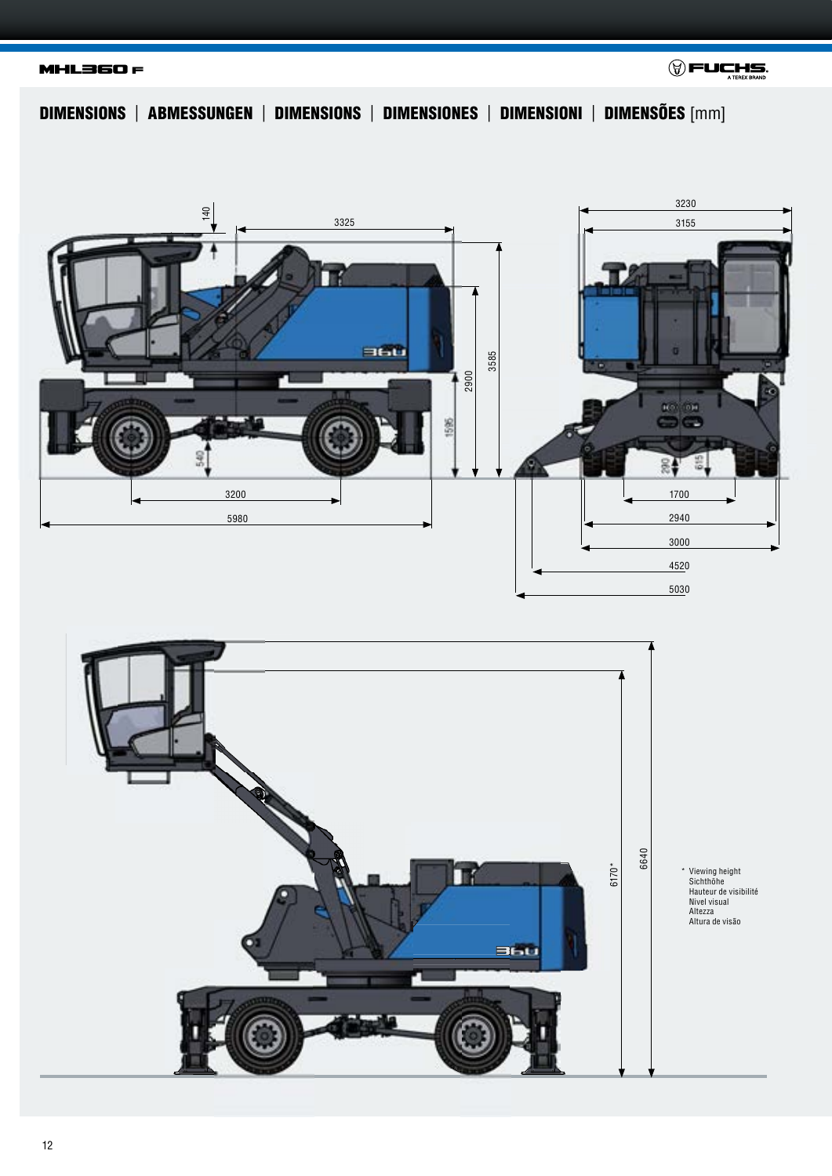**MHL360 F** 



DIMENSIONS | ABMESSUNGEN | DIMENSIONS | DIMENSIONES | DIMENSIONI | DIMENSÕES [mm]